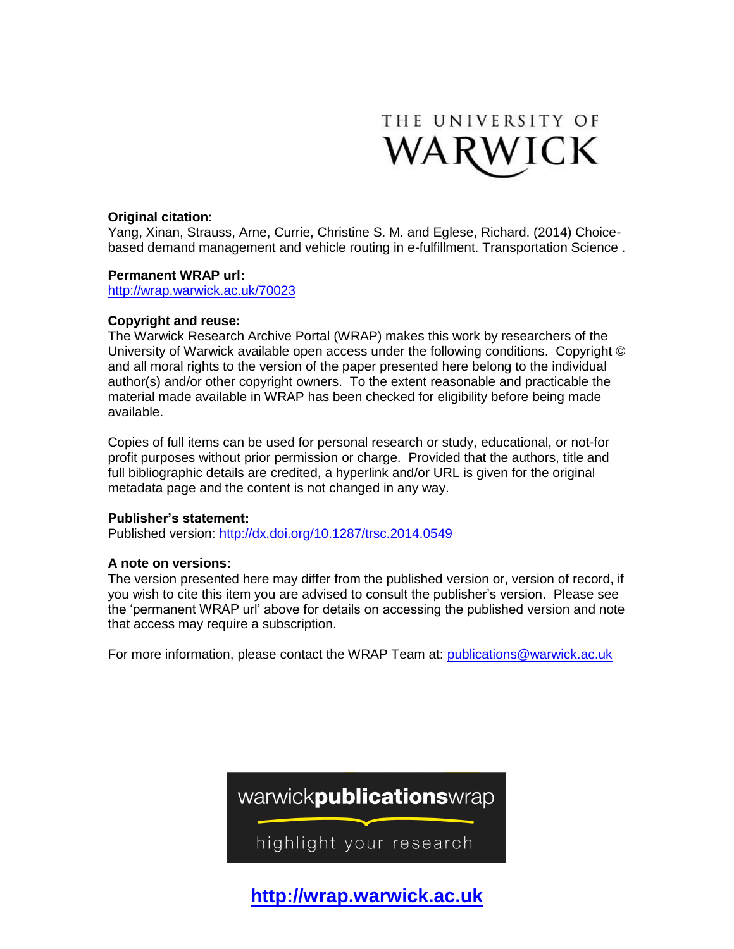

## **Original citation:**

Yang, Xinan, Strauss, Arne, Currie, Christine S. M. and Eglese, Richard. (2014) Choicebased demand management and vehicle routing in e-fulfillment. Transportation Science .

## **Permanent WRAP url:**

<http://wrap.warwick.ac.uk/70023>

## **Copyright and reuse:**

The Warwick Research Archive Portal (WRAP) makes this work by researchers of the University of Warwick available open access under the following conditions. Copyright © and all moral rights to the version of the paper presented here belong to the individual author(s) and/or other copyright owners. To the extent reasonable and practicable the material made available in WRAP has been checked for eligibility before being made available.

Copies of full items can be used for personal research or study, educational, or not-for profit purposes without prior permission or charge. Provided that the authors, title and full bibliographic details are credited, a hyperlink and/or URL is given for the original metadata page and the content is not changed in any way.

## **Publisher's statement:**

Published version: <http://dx.doi.org/10.1287/trsc.2014.0549>

## **A note on versions:**

The version presented here may differ from the published version or, version of record, if you wish to cite this item you are advised to consult the publisher's version. Please see the 'permanent WRAP url' above for details on accessing the published version and note that access may require a subscription.

For more information, please contact the WRAP Team at: [publications@warwick.ac.uk](mailto:publications@warwick.ac.uk)



**[http://wrap.warwick.ac.uk](http://wrap.warwick.ac.uk/)**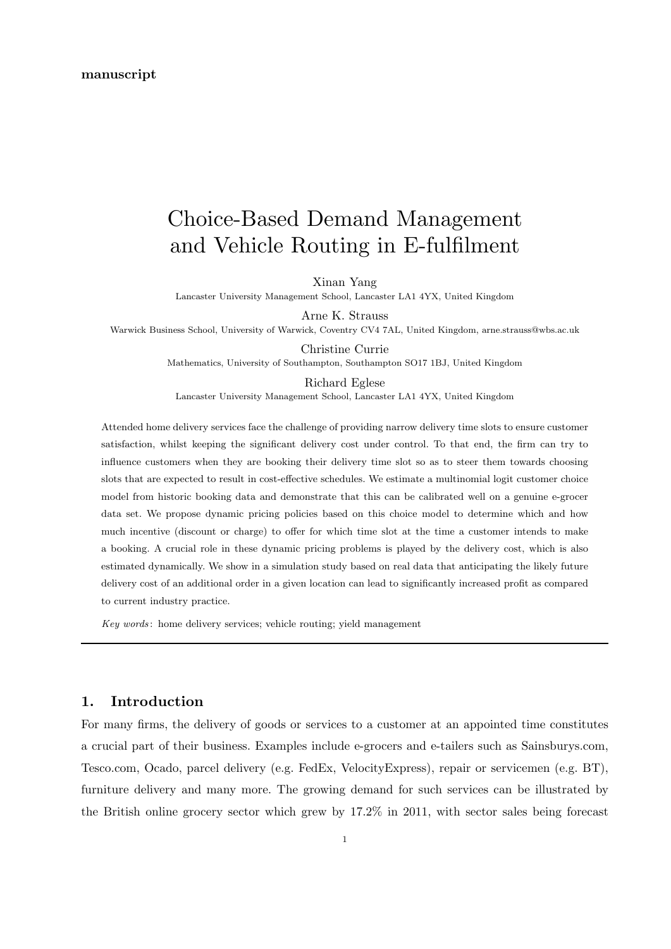#### manuscript

# Choice-Based Demand Management and Vehicle Routing in E-fulfilment

Xinan Yang

Lancaster University Management School, Lancaster LA1 4YX, United Kingdom

Arne K. Strauss

Warwick Business School, University of Warwick, Coventry CV4 7AL, United Kingdom, arne.strauss@wbs.ac.uk

Christine Currie Mathematics, University of Southampton, Southampton SO17 1BJ, United Kingdom

Richard Eglese

Lancaster University Management School, Lancaster LA1 4YX, United Kingdom

Attended home delivery services face the challenge of providing narrow delivery time slots to ensure customer satisfaction, whilst keeping the significant delivery cost under control. To that end, the firm can try to influence customers when they are booking their delivery time slot so as to steer them towards choosing slots that are expected to result in cost-effective schedules. We estimate a multinomial logit customer choice model from historic booking data and demonstrate that this can be calibrated well on a genuine e-grocer data set. We propose dynamic pricing policies based on this choice model to determine which and how much incentive (discount or charge) to offer for which time slot at the time a customer intends to make a booking. A crucial role in these dynamic pricing problems is played by the delivery cost, which is also estimated dynamically. We show in a simulation study based on real data that anticipating the likely future delivery cost of an additional order in a given location can lead to significantly increased profit as compared to current industry practice.

Key words: home delivery services; vehicle routing; vield management

# 1. Introduction

For many firms, the delivery of goods or services to a customer at an appointed time constitutes a crucial part of their business. Examples include e-grocers and e-tailers such as Sainsburys.com, Tesco.com, Ocado, parcel delivery (e.g. FedEx, VelocityExpress), repair or servicemen (e.g. BT), furniture delivery and many more. The growing demand for such services can be illustrated by the British online grocery sector which grew by 17.2% in 2011, with sector sales being forecast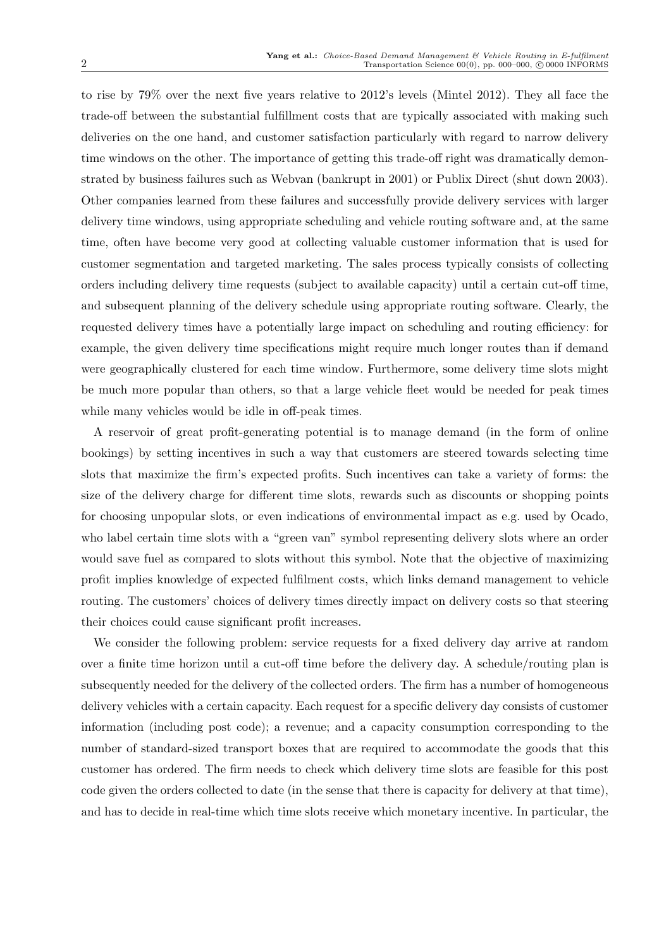to rise by 79% over the next five years relative to 2012's levels (Mintel 2012). They all face the trade-off between the substantial fulfillment costs that are typically associated with making such deliveries on the one hand, and customer satisfaction particularly with regard to narrow delivery time windows on the other. The importance of getting this trade-off right was dramatically demonstrated by business failures such as Webvan (bankrupt in 2001) or Publix Direct (shut down 2003). Other companies learned from these failures and successfully provide delivery services with larger delivery time windows, using appropriate scheduling and vehicle routing software and, at the same time, often have become very good at collecting valuable customer information that is used for customer segmentation and targeted marketing. The sales process typically consists of collecting orders including delivery time requests (subject to available capacity) until a certain cut-off time, and subsequent planning of the delivery schedule using appropriate routing software. Clearly, the requested delivery times have a potentially large impact on scheduling and routing efficiency: for example, the given delivery time specifications might require much longer routes than if demand were geographically clustered for each time window. Furthermore, some delivery time slots might be much more popular than others, so that a large vehicle fleet would be needed for peak times while many vehicles would be idle in off-peak times.

A reservoir of great profit-generating potential is to manage demand (in the form of online bookings) by setting incentives in such a way that customers are steered towards selecting time slots that maximize the firm's expected profits. Such incentives can take a variety of forms: the size of the delivery charge for different time slots, rewards such as discounts or shopping points for choosing unpopular slots, or even indications of environmental impact as e.g. used by Ocado, who label certain time slots with a "green van" symbol representing delivery slots where an order would save fuel as compared to slots without this symbol. Note that the objective of maximizing profit implies knowledge of expected fulfilment costs, which links demand management to vehicle routing. The customers' choices of delivery times directly impact on delivery costs so that steering their choices could cause significant profit increases.

We consider the following problem: service requests for a fixed delivery day arrive at random over a finite time horizon until a cut-off time before the delivery day. A schedule/routing plan is subsequently needed for the delivery of the collected orders. The firm has a number of homogeneous delivery vehicles with a certain capacity. Each request for a specific delivery day consists of customer information (including post code); a revenue; and a capacity consumption corresponding to the number of standard-sized transport boxes that are required to accommodate the goods that this customer has ordered. The firm needs to check which delivery time slots are feasible for this post code given the orders collected to date (in the sense that there is capacity for delivery at that time), and has to decide in real-time which time slots receive which monetary incentive. In particular, the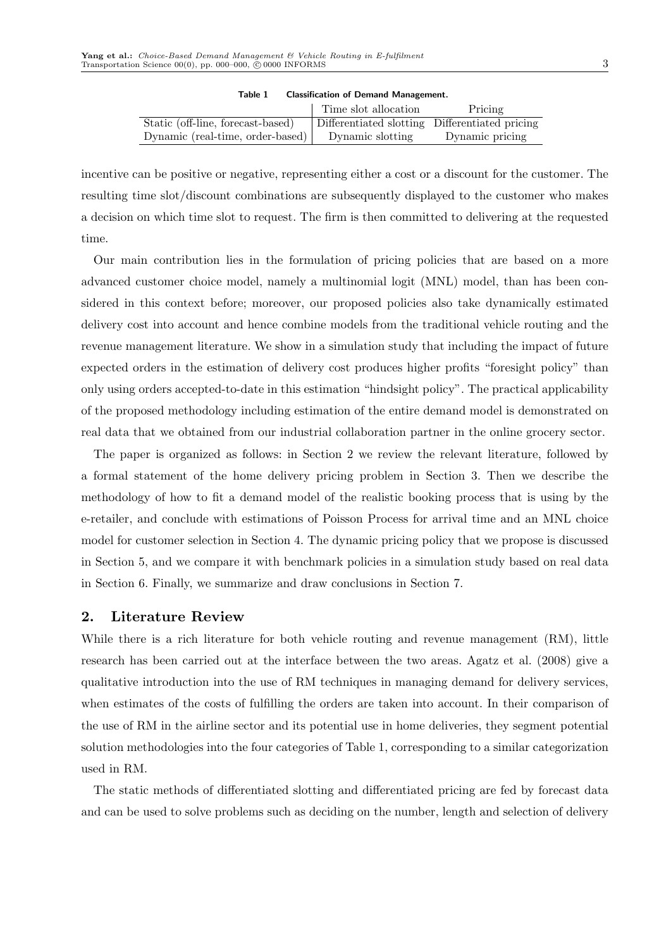|                                   | Time slot allocation                           | Pricing         |
|-----------------------------------|------------------------------------------------|-----------------|
| Static (off-line, forecast-based) | Differentiated slotting Differentiated pricing |                 |
| Dynamic (real-time, order-based)  | Dynamic slotting                               | Dynamic pricing |

Table 1 Classification of Demand Management.

incentive can be positive or negative, representing either a cost or a discount for the customer. The resulting time slot/discount combinations are subsequently displayed to the customer who makes a decision on which time slot to request. The firm is then committed to delivering at the requested time.

Our main contribution lies in the formulation of pricing policies that are based on a more advanced customer choice model, namely a multinomial logit (MNL) model, than has been considered in this context before; moreover, our proposed policies also take dynamically estimated delivery cost into account and hence combine models from the traditional vehicle routing and the revenue management literature. We show in a simulation study that including the impact of future expected orders in the estimation of delivery cost produces higher profits "foresight policy" than only using orders accepted-to-date in this estimation "hindsight policy". The practical applicability of the proposed methodology including estimation of the entire demand model is demonstrated on real data that we obtained from our industrial collaboration partner in the online grocery sector.

The paper is organized as follows: in Section 2 we review the relevant literature, followed by a formal statement of the home delivery pricing problem in Section 3. Then we describe the methodology of how to fit a demand model of the realistic booking process that is using by the e-retailer, and conclude with estimations of Poisson Process for arrival time and an MNL choice model for customer selection in Section 4. The dynamic pricing policy that we propose is discussed in Section 5, and we compare it with benchmark policies in a simulation study based on real data in Section 6. Finally, we summarize and draw conclusions in Section 7.

## 2. Literature Review

While there is a rich literature for both vehicle routing and revenue management (RM), little research has been carried out at the interface between the two areas. Agatz et al. (2008) give a qualitative introduction into the use of RM techniques in managing demand for delivery services, when estimates of the costs of fulfilling the orders are taken into account. In their comparison of the use of RM in the airline sector and its potential use in home deliveries, they segment potential solution methodologies into the four categories of Table 1, corresponding to a similar categorization used in RM.

The static methods of differentiated slotting and differentiated pricing are fed by forecast data and can be used to solve problems such as deciding on the number, length and selection of delivery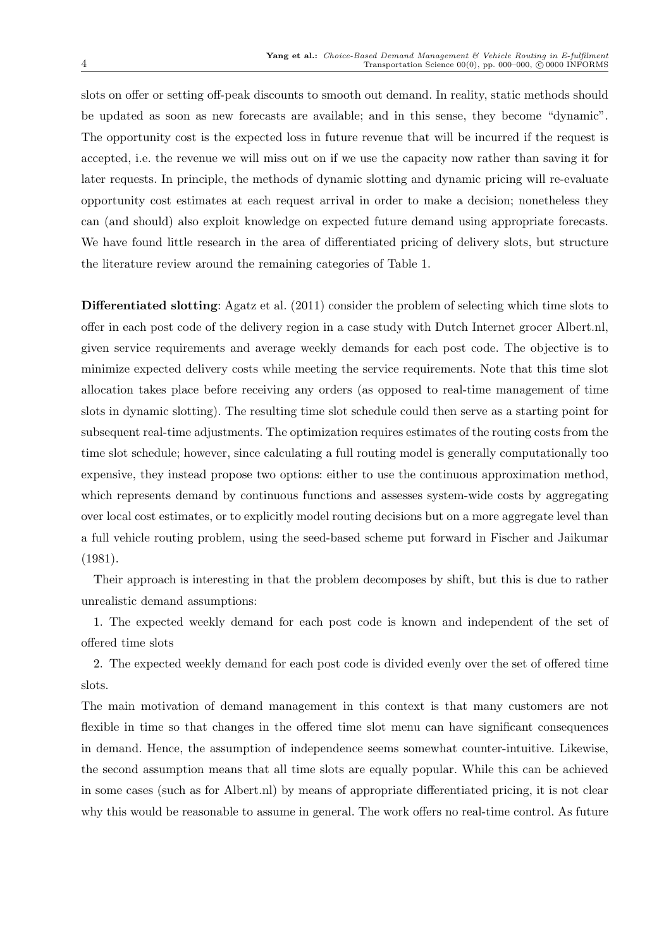slots on offer or setting off-peak discounts to smooth out demand. In reality, static methods should be updated as soon as new forecasts are available; and in this sense, they become "dynamic". The opportunity cost is the expected loss in future revenue that will be incurred if the request is accepted, i.e. the revenue we will miss out on if we use the capacity now rather than saving it for later requests. In principle, the methods of dynamic slotting and dynamic pricing will re-evaluate opportunity cost estimates at each request arrival in order to make a decision; nonetheless they can (and should) also exploit knowledge on expected future demand using appropriate forecasts. We have found little research in the area of differentiated pricing of delivery slots, but structure the literature review around the remaining categories of Table 1.

Differentiated slotting: Agatz et al. (2011) consider the problem of selecting which time slots to offer in each post code of the delivery region in a case study with Dutch Internet grocer Albert.nl, given service requirements and average weekly demands for each post code. The objective is to minimize expected delivery costs while meeting the service requirements. Note that this time slot allocation takes place before receiving any orders (as opposed to real-time management of time slots in dynamic slotting). The resulting time slot schedule could then serve as a starting point for subsequent real-time adjustments. The optimization requires estimates of the routing costs from the time slot schedule; however, since calculating a full routing model is generally computationally too expensive, they instead propose two options: either to use the continuous approximation method, which represents demand by continuous functions and assesses system-wide costs by aggregating over local cost estimates, or to explicitly model routing decisions but on a more aggregate level than a full vehicle routing problem, using the seed-based scheme put forward in Fischer and Jaikumar (1981).

Their approach is interesting in that the problem decomposes by shift, but this is due to rather unrealistic demand assumptions:

1. The expected weekly demand for each post code is known and independent of the set of offered time slots

2. The expected weekly demand for each post code is divided evenly over the set of offered time slots.

The main motivation of demand management in this context is that many customers are not flexible in time so that changes in the offered time slot menu can have significant consequences in demand. Hence, the assumption of independence seems somewhat counter-intuitive. Likewise, the second assumption means that all time slots are equally popular. While this can be achieved in some cases (such as for Albert.nl) by means of appropriate differentiated pricing, it is not clear why this would be reasonable to assume in general. The work offers no real-time control. As future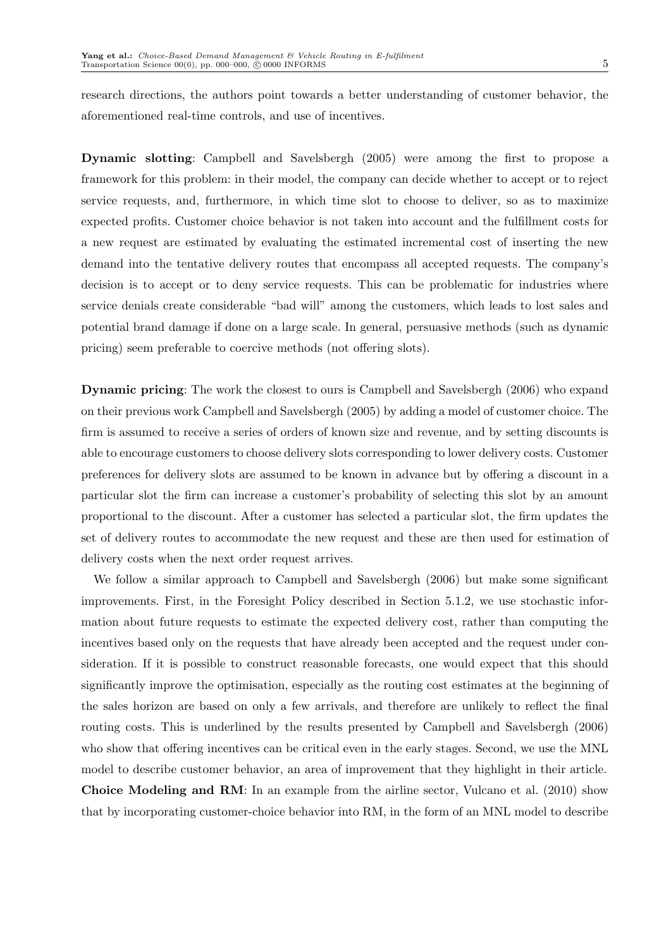research directions, the authors point towards a better understanding of customer behavior, the aforementioned real-time controls, and use of incentives.

Dynamic slotting: Campbell and Savelsbergh (2005) were among the first to propose a framework for this problem: in their model, the company can decide whether to accept or to reject service requests, and, furthermore, in which time slot to choose to deliver, so as to maximize expected profits. Customer choice behavior is not taken into account and the fulfillment costs for a new request are estimated by evaluating the estimated incremental cost of inserting the new demand into the tentative delivery routes that encompass all accepted requests. The company's decision is to accept or to deny service requests. This can be problematic for industries where service denials create considerable "bad will" among the customers, which leads to lost sales and potential brand damage if done on a large scale. In general, persuasive methods (such as dynamic pricing) seem preferable to coercive methods (not offering slots).

Dynamic pricing: The work the closest to ours is Campbell and Savelsbergh (2006) who expand on their previous work Campbell and Savelsbergh (2005) by adding a model of customer choice. The firm is assumed to receive a series of orders of known size and revenue, and by setting discounts is able to encourage customers to choose delivery slots corresponding to lower delivery costs. Customer preferences for delivery slots are assumed to be known in advance but by offering a discount in a particular slot the firm can increase a customer's probability of selecting this slot by an amount proportional to the discount. After a customer has selected a particular slot, the firm updates the set of delivery routes to accommodate the new request and these are then used for estimation of delivery costs when the next order request arrives.

We follow a similar approach to Campbell and Savelsbergh (2006) but make some significant improvements. First, in the Foresight Policy described in Section 5.1.2, we use stochastic information about future requests to estimate the expected delivery cost, rather than computing the incentives based only on the requests that have already been accepted and the request under consideration. If it is possible to construct reasonable forecasts, one would expect that this should significantly improve the optimisation, especially as the routing cost estimates at the beginning of the sales horizon are based on only a few arrivals, and therefore are unlikely to reflect the final routing costs. This is underlined by the results presented by Campbell and Savelsbergh (2006) who show that offering incentives can be critical even in the early stages. Second, we use the MNL model to describe customer behavior, an area of improvement that they highlight in their article. Choice Modeling and RM: In an example from the airline sector, Vulcano et al. (2010) show that by incorporating customer-choice behavior into RM, in the form of an MNL model to describe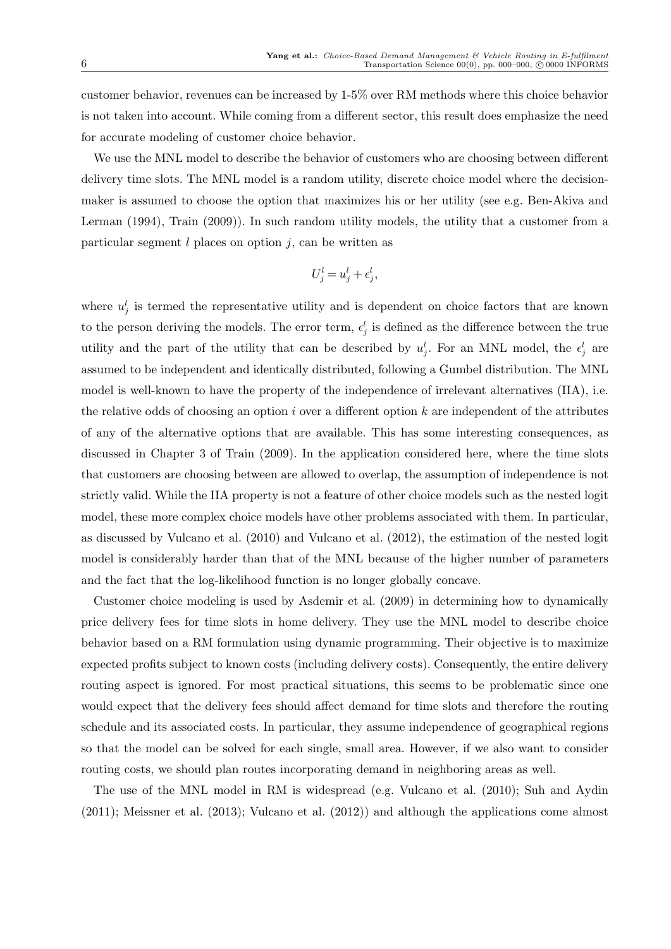customer behavior, revenues can be increased by 1-5% over RM methods where this choice behavior is not taken into account. While coming from a different sector, this result does emphasize the need for accurate modeling of customer choice behavior.

We use the MNL model to describe the behavior of customers who are choosing between different delivery time slots. The MNL model is a random utility, discrete choice model where the decisionmaker is assumed to choose the option that maximizes his or her utility (see e.g. Ben-Akiva and Lerman (1994), Train (2009)). In such random utility models, the utility that a customer from a particular segment  $l$  places on option  $j$ , can be written as

$$
U_j^l = u_j^l + \epsilon_j^l,
$$

where  $u_j^l$  is termed the representative utility and is dependent on choice factors that are known to the person deriving the models. The error term,  $\epsilon_j^l$  is defined as the difference between the true utility and the part of the utility that can be described by  $u_j^l$ . For an MNL model, the  $\epsilon_j^l$  are assumed to be independent and identically distributed, following a Gumbel distribution. The MNL model is well-known to have the property of the independence of irrelevant alternatives (IIA), i.e. the relative odds of choosing an option  $i$  over a different option  $k$  are independent of the attributes of any of the alternative options that are available. This has some interesting consequences, as discussed in Chapter 3 of Train (2009). In the application considered here, where the time slots that customers are choosing between are allowed to overlap, the assumption of independence is not strictly valid. While the IIA property is not a feature of other choice models such as the nested logit model, these more complex choice models have other problems associated with them. In particular, as discussed by Vulcano et al. (2010) and Vulcano et al. (2012), the estimation of the nested logit model is considerably harder than that of the MNL because of the higher number of parameters and the fact that the log-likelihood function is no longer globally concave.

Customer choice modeling is used by Asdemir et al. (2009) in determining how to dynamically price delivery fees for time slots in home delivery. They use the MNL model to describe choice behavior based on a RM formulation using dynamic programming. Their objective is to maximize expected profits subject to known costs (including delivery costs). Consequently, the entire delivery routing aspect is ignored. For most practical situations, this seems to be problematic since one would expect that the delivery fees should affect demand for time slots and therefore the routing schedule and its associated costs. In particular, they assume independence of geographical regions so that the model can be solved for each single, small area. However, if we also want to consider routing costs, we should plan routes incorporating demand in neighboring areas as well.

The use of the MNL model in RM is widespread (e.g. Vulcano et al. (2010); Suh and Aydin (2011); Meissner et al. (2013); Vulcano et al. (2012)) and although the applications come almost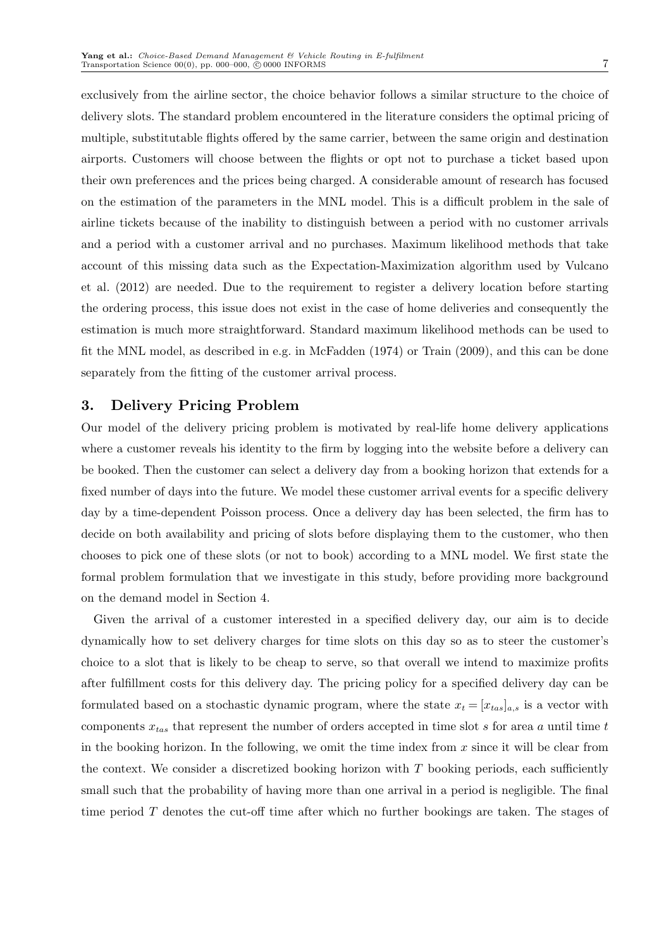exclusively from the airline sector, the choice behavior follows a similar structure to the choice of delivery slots. The standard problem encountered in the literature considers the optimal pricing of multiple, substitutable flights offered by the same carrier, between the same origin and destination airports. Customers will choose between the flights or opt not to purchase a ticket based upon their own preferences and the prices being charged. A considerable amount of research has focused on the estimation of the parameters in the MNL model. This is a difficult problem in the sale of airline tickets because of the inability to distinguish between a period with no customer arrivals and a period with a customer arrival and no purchases. Maximum likelihood methods that take account of this missing data such as the Expectation-Maximization algorithm used by Vulcano et al. (2012) are needed. Due to the requirement to register a delivery location before starting the ordering process, this issue does not exist in the case of home deliveries and consequently the estimation is much more straightforward. Standard maximum likelihood methods can be used to fit the MNL model, as described in e.g. in McFadden (1974) or Train (2009), and this can be done separately from the fitting of the customer arrival process.

# 3. Delivery Pricing Problem

Our model of the delivery pricing problem is motivated by real-life home delivery applications where a customer reveals his identity to the firm by logging into the website before a delivery can be booked. Then the customer can select a delivery day from a booking horizon that extends for a fixed number of days into the future. We model these customer arrival events for a specific delivery day by a time-dependent Poisson process. Once a delivery day has been selected, the firm has to decide on both availability and pricing of slots before displaying them to the customer, who then chooses to pick one of these slots (or not to book) according to a MNL model. We first state the formal problem formulation that we investigate in this study, before providing more background on the demand model in Section 4.

Given the arrival of a customer interested in a specified delivery day, our aim is to decide dynamically how to set delivery charges for time slots on this day so as to steer the customer's choice to a slot that is likely to be cheap to serve, so that overall we intend to maximize profits after fulfillment costs for this delivery day. The pricing policy for a specified delivery day can be formulated based on a stochastic dynamic program, where the state  $x_t = [x_{tas}]_{a,s}$  is a vector with components  $x_{tas}$  that represent the number of orders accepted in time slot s for area a until time t in the booking horizon. In the following, we omit the time index from  $x$  since it will be clear from the context. We consider a discretized booking horizon with  $T$  booking periods, each sufficiently small such that the probability of having more than one arrival in a period is negligible. The final time period  $T$  denotes the cut-off time after which no further bookings are taken. The stages of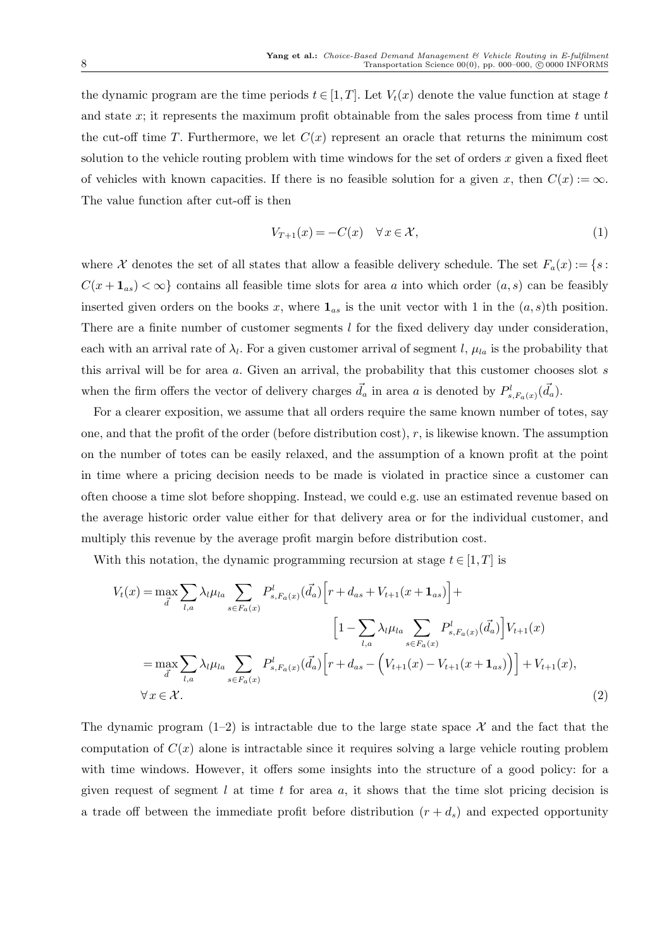the dynamic program are the time periods  $t \in [1, T]$ . Let  $V_t(x)$  denote the value function at stage t and state  $x$ ; it represents the maximum profit obtainable from the sales process from time  $t$  until the cut-off time T. Furthermore, we let  $C(x)$  represent an oracle that returns the minimum cost solution to the vehicle routing problem with time windows for the set of orders  $x$  given a fixed fleet of vehicles with known capacities. If there is no feasible solution for a given x, then  $C(x) := \infty$ . The value function after cut-off is then

$$
V_{T+1}(x) = -C(x) \quad \forall x \in \mathcal{X},\tag{1}
$$

where X denotes the set of all states that allow a feasible delivery schedule. The set  $F_a(x) := \{s :$  $C(x + \mathbf{1}_{as}) < \infty$  contains all feasible time slots for area a into which order  $(a, s)$  can be feasibly inserted given orders on the books x, where  $\mathbf{1}_{as}$  is the unit vector with 1 in the  $(a, s)$ th position. There are a finite number of customer segments l for the fixed delivery day under consideration, each with an arrival rate of  $\lambda_l$ . For a given customer arrival of segment l,  $\mu_{la}$  is the probability that this arrival will be for area  $a$ . Given an arrival, the probability that this customer chooses slot  $s$ when the firm offers the vector of delivery charges  $\vec{d}_a$  in area a is denoted by  $P^l_{s,F_a(x)}(\vec{d}_a)$ .

For a clearer exposition, we assume that all orders require the same known number of totes, say one, and that the profit of the order (before distribution cost),  $r$ , is likewise known. The assumption on the number of totes can be easily relaxed, and the assumption of a known profit at the point in time where a pricing decision needs to be made is violated in practice since a customer can often choose a time slot before shopping. Instead, we could e.g. use an estimated revenue based on the average historic order value either for that delivery area or for the individual customer, and multiply this revenue by the average profit margin before distribution cost.

With this notation, the dynamic programming recursion at stage  $t \in [1, T]$  is

$$
V_t(x) = \max_{\vec{d}} \sum_{l,a} \lambda_l \mu_{la} \sum_{s \in F_a(x)} P_{s, F_a(x)}^l (\vec{d}_a) \left[ r + d_{as} + V_{t+1}(x + \mathbf{1}_{as}) \right] +
$$
  
\n
$$
\left[ 1 - \sum_{l,a} \lambda_l \mu_{la} \sum_{s \in F_a(x)} P_{s, F_a(x)}^l (\vec{d}_a) \right] V_{t+1}(x)
$$
  
\n
$$
= \max_{\vec{d}} \sum_{l,a} \lambda_l \mu_{la} \sum_{s \in F_a(x)} P_{s, F_a(x)}^l (\vec{d}_a) \left[ r + d_{as} - \left( V_{t+1}(x) - V_{t+1}(x + \mathbf{1}_{as}) \right) \right] + V_{t+1}(x),
$$
  
\n
$$
\forall x \in \mathcal{X}.
$$
  
\n(2)

The dynamic program  $(1-2)$  is intractable due to the large state space X and the fact that the computation of  $C(x)$  alone is intractable since it requires solving a large vehicle routing problem with time windows. However, it offers some insights into the structure of a good policy: for a given request of segment  $l$  at time  $t$  for area  $a$ , it shows that the time slot pricing decision is a trade off between the immediate profit before distribution  $(r + d_s)$  and expected opportunity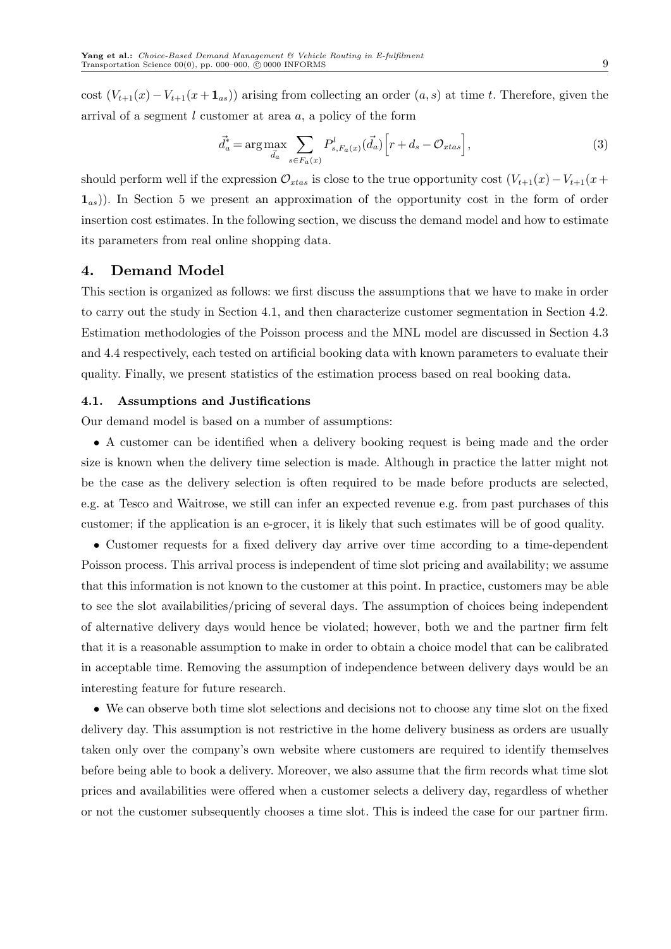cost  $(V_{t+1}(x) - V_{t+1}(x+\mathbf{1}_{as}))$  arising from collecting an order  $(a, s)$  at time t. Therefore, given the arrival of a segment l customer at area a, a policy of the form

$$
\vec{d}_a^* = \underset{\vec{d}_a}{\arg\max} \sum_{s \in F_a(x)} P_{s, F_a(x)}^l(\vec{d}_a) \left[ r + d_s - \mathcal{O}_{x \cdot t a s} \right],\tag{3}
$$

should perform well if the expression  $\mathcal{O}_{xtas}$  is close to the true opportunity cost  $(V_{t+1}(x)-V_{t+1}(x+))$  $(1_{as})$ ). In Section 5 we present an approximation of the opportunity cost in the form of order insertion cost estimates. In the following section, we discuss the demand model and how to estimate its parameters from real online shopping data.

## 4. Demand Model

This section is organized as follows: we first discuss the assumptions that we have to make in order to carry out the study in Section 4.1, and then characterize customer segmentation in Section 4.2. Estimation methodologies of the Poisson process and the MNL model are discussed in Section 4.3 and 4.4 respectively, each tested on artificial booking data with known parameters to evaluate their quality. Finally, we present statistics of the estimation process based on real booking data.

#### 4.1. Assumptions and Justifications

Our demand model is based on a number of assumptions:

• A customer can be identified when a delivery booking request is being made and the order size is known when the delivery time selection is made. Although in practice the latter might not be the case as the delivery selection is often required to be made before products are selected, e.g. at Tesco and Waitrose, we still can infer an expected revenue e.g. from past purchases of this customer; if the application is an e-grocer, it is likely that such estimates will be of good quality.

• Customer requests for a fixed delivery day arrive over time according to a time-dependent Poisson process. This arrival process is independent of time slot pricing and availability; we assume that this information is not known to the customer at this point. In practice, customers may be able to see the slot availabilities/pricing of several days. The assumption of choices being independent of alternative delivery days would hence be violated; however, both we and the partner firm felt that it is a reasonable assumption to make in order to obtain a choice model that can be calibrated in acceptable time. Removing the assumption of independence between delivery days would be an interesting feature for future research.

• We can observe both time slot selections and decisions not to choose any time slot on the fixed delivery day. This assumption is not restrictive in the home delivery business as orders are usually taken only over the company's own website where customers are required to identify themselves before being able to book a delivery. Moreover, we also assume that the firm records what time slot prices and availabilities were offered when a customer selects a delivery day, regardless of whether or not the customer subsequently chooses a time slot. This is indeed the case for our partner firm.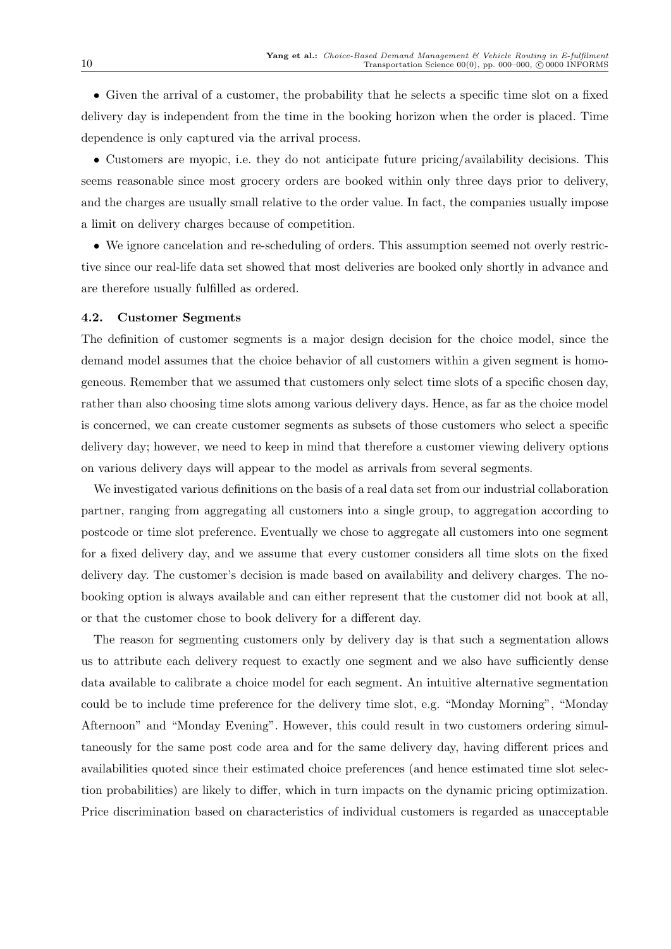• Given the arrival of a customer, the probability that he selects a specific time slot on a fixed delivery day is independent from the time in the booking horizon when the order is placed. Time dependence is only captured via the arrival process.

• Customers are myopic, i.e. they do not anticipate future pricing/availability decisions. This seems reasonable since most grocery orders are booked within only three days prior to delivery, and the charges are usually small relative to the order value. In fact, the companies usually impose a limit on delivery charges because of competition.

• We ignore cancelation and re-scheduling of orders. This assumption seemed not overly restrictive since our real-life data set showed that most deliveries are booked only shortly in advance and are therefore usually fulfilled as ordered.

#### 4.2. Customer Segments

The definition of customer segments is a major design decision for the choice model, since the demand model assumes that the choice behavior of all customers within a given segment is homogeneous. Remember that we assumed that customers only select time slots of a specific chosen day, rather than also choosing time slots among various delivery days. Hence, as far as the choice model is concerned, we can create customer segments as subsets of those customers who select a specific delivery day; however, we need to keep in mind that therefore a customer viewing delivery options on various delivery days will appear to the model as arrivals from several segments.

We investigated various definitions on the basis of a real data set from our industrial collaboration partner, ranging from aggregating all customers into a single group, to aggregation according to postcode or time slot preference. Eventually we chose to aggregate all customers into one segment for a fixed delivery day, and we assume that every customer considers all time slots on the fixed delivery day. The customer's decision is made based on availability and delivery charges. The nobooking option is always available and can either represent that the customer did not book at all, or that the customer chose to book delivery for a different day.

The reason for segmenting customers only by delivery day is that such a segmentation allows us to attribute each delivery request to exactly one segment and we also have sufficiently dense data available to calibrate a choice model for each segment. An intuitive alternative segmentation could be to include time preference for the delivery time slot, e.g. "Monday Morning", "Monday Afternoon" and "Monday Evening". However, this could result in two customers ordering simultaneously for the same post code area and for the same delivery day, having different prices and availabilities quoted since their estimated choice preferences (and hence estimated time slot selection probabilities) are likely to differ, which in turn impacts on the dynamic pricing optimization. Price discrimination based on characteristics of individual customers is regarded as unacceptable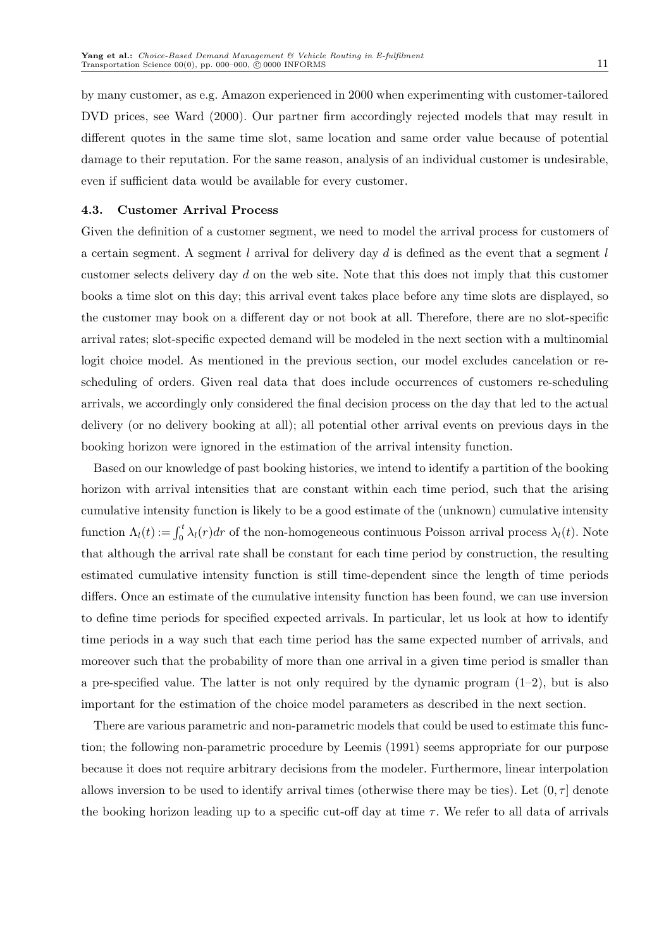by many customer, as e.g. Amazon experienced in 2000 when experimenting with customer-tailored DVD prices, see Ward (2000). Our partner firm accordingly rejected models that may result in different quotes in the same time slot, same location and same order value because of potential damage to their reputation. For the same reason, analysis of an individual customer is undesirable, even if sufficient data would be available for every customer.

#### 4.3. Customer Arrival Process

Given the definition of a customer segment, we need to model the arrival process for customers of a certain segment. A segment l arrival for delivery day d is defined as the event that a segment l customer selects delivery day d on the web site. Note that this does not imply that this customer books a time slot on this day; this arrival event takes place before any time slots are displayed, so the customer may book on a different day or not book at all. Therefore, there are no slot-specific arrival rates; slot-specific expected demand will be modeled in the next section with a multinomial logit choice model. As mentioned in the previous section, our model excludes cancelation or rescheduling of orders. Given real data that does include occurrences of customers re-scheduling arrivals, we accordingly only considered the final decision process on the day that led to the actual delivery (or no delivery booking at all); all potential other arrival events on previous days in the booking horizon were ignored in the estimation of the arrival intensity function.

Based on our knowledge of past booking histories, we intend to identify a partition of the booking horizon with arrival intensities that are constant within each time period, such that the arising cumulative intensity function is likely to be a good estimate of the (unknown) cumulative intensity function  $\Lambda_l(t) := \int_0^t \lambda_l(r) dr$  of the non-homogeneous continuous Poisson arrival process  $\lambda_l(t)$ . Note that although the arrival rate shall be constant for each time period by construction, the resulting estimated cumulative intensity function is still time-dependent since the length of time periods differs. Once an estimate of the cumulative intensity function has been found, we can use inversion to define time periods for specified expected arrivals. In particular, let us look at how to identify time periods in a way such that each time period has the same expected number of arrivals, and moreover such that the probability of more than one arrival in a given time period is smaller than a pre-specified value. The latter is not only required by the dynamic program  $(1-2)$ , but is also important for the estimation of the choice model parameters as described in the next section.

There are various parametric and non-parametric models that could be used to estimate this function; the following non-parametric procedure by Leemis (1991) seems appropriate for our purpose because it does not require arbitrary decisions from the modeler. Furthermore, linear interpolation allows inversion to be used to identify arrival times (otherwise there may be ties). Let  $(0, \tau]$  denote the booking horizon leading up to a specific cut-off day at time  $\tau$ . We refer to all data of arrivals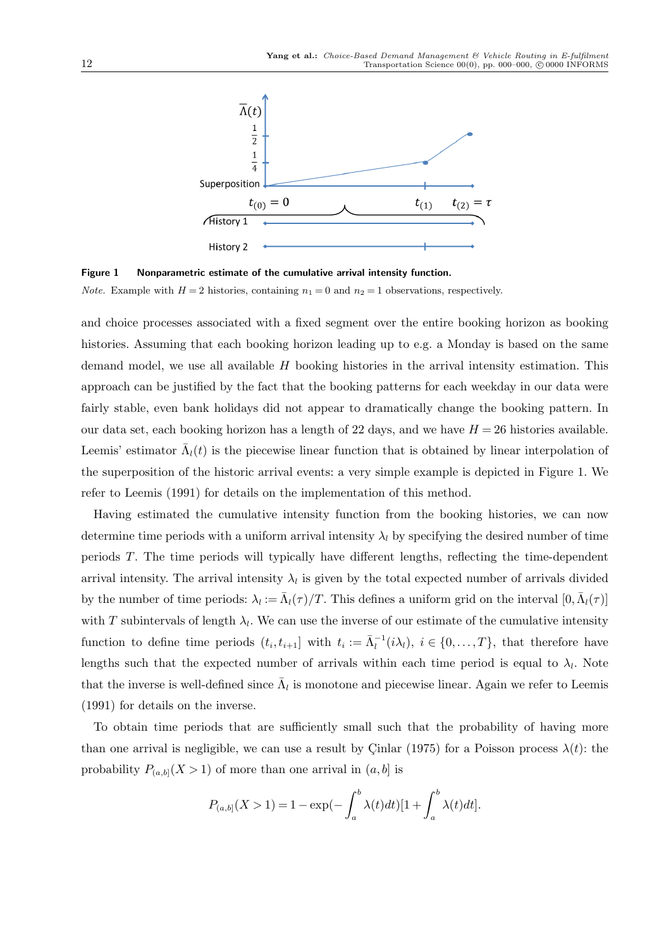

Figure 1 Nonparametric estimate of the cumulative arrival intensity function. *Note.* Example with  $H = 2$  histories, containing  $n_1 = 0$  and  $n_2 = 1$  observations, respectively.

and choice processes associated with a fixed segment over the entire booking horizon as booking histories. Assuming that each booking horizon leading up to e.g. a Monday is based on the same demand model, we use all available  $H$  booking histories in the arrival intensity estimation. This approach can be justified by the fact that the booking patterns for each weekday in our data were fairly stable, even bank holidays did not appear to dramatically change the booking pattern. In our data set, each booking horizon has a length of 22 days, and we have  $H = 26$  histories available. Leemis' estimator  $\bar{\Lambda}_l(t)$  is the piecewise linear function that is obtained by linear interpolation of the superposition of the historic arrival events: a very simple example is depicted in Figure 1. We refer to Leemis (1991) for details on the implementation of this method.

Having estimated the cumulative intensity function from the booking histories, we can now determine time periods with a uniform arrival intensity  $\lambda_l$  by specifying the desired number of time periods T. The time periods will typically have different lengths, reflecting the time-dependent arrival intensity. The arrival intensity  $\lambda_l$  is given by the total expected number of arrivals divided by the number of time periods:  $\lambda_l := \bar{\Lambda}_l(\tau)/T$ . This defines a uniform grid on the interval  $[0, \bar{\Lambda}_l(\tau)]$ with T subintervals of length  $\lambda_l$ . We can use the inverse of our estimate of the cumulative intensity function to define time periods  $(t_i, t_{i+1}]$  with  $t_i := \bar{\Lambda}_l^{-1}(i\lambda_l)$ ,  $i \in \{0, ..., T\}$ , that therefore have lengths such that the expected number of arrivals within each time period is equal to  $\lambda_l$ . Note that the inverse is well-defined since  $\bar{\Lambda}_l$  is monotone and piecewise linear. Again we refer to Leemis (1991) for details on the inverse.

To obtain time periods that are sufficiently small such that the probability of having more than one arrival is negligible, we can use a result by Cinlar (1975) for a Poisson process  $\lambda(t)$ : the probability  $P_{(a,b]}(X > 1)$  of more than one arrival in  $(a, b]$  is

$$
P_{(a,b]}(X>1) = 1 - \exp(-\int_a^b \lambda(t)dt)[1 + \int_a^b \lambda(t)dt].
$$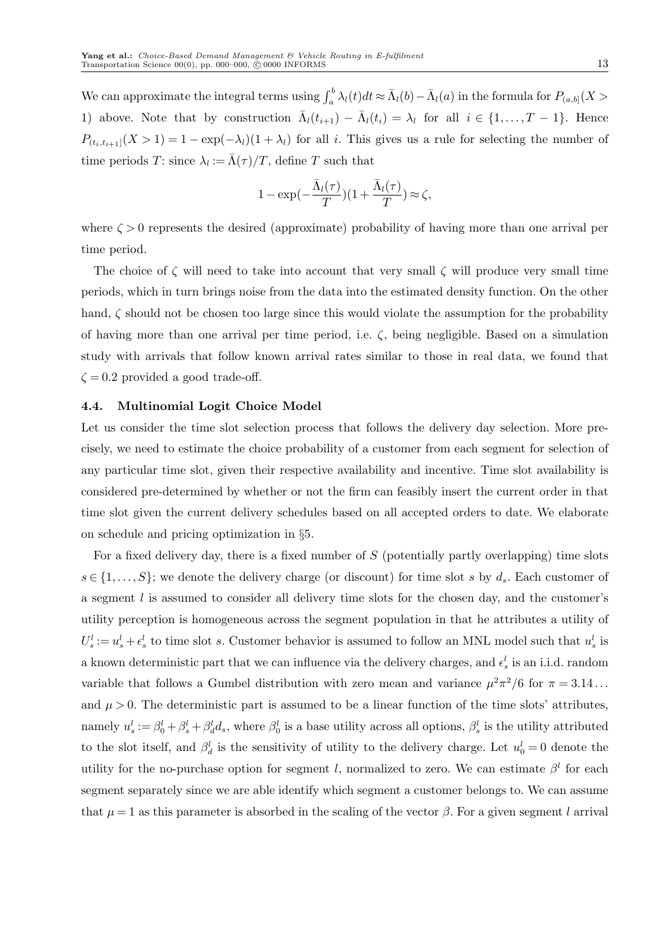We can approximate the integral terms using  $\int_a^b \lambda_l(t)dt \approx \bar{\Lambda}_l(b) - \bar{\Lambda}_l(a)$  in the formula for  $P_{(a,b]}(X > a)$ 1) above. Note that by construction  $\bar{\Lambda}_l(t_{i+1}) - \bar{\Lambda}_l(t_i) = \lambda_l$  for all  $i \in \{1, ..., T-1\}$ . Hence  $P_{(t_i,t_{i+1}]}(X>1) = 1 - \exp(-\lambda_i)(1+\lambda_i)$  for all i. This gives us a rule for selecting the number of time periods T: since  $\lambda_l := \bar{\Lambda}(\tau)/T$ , define T such that

$$
1 - \exp(-\frac{\bar{\Lambda}_l(\tau)}{T})(1 + \frac{\bar{\Lambda}_l(\tau)}{T}) \approx \zeta,
$$

where  $\zeta > 0$  represents the desired (approximate) probability of having more than one arrival per time period.

The choice of  $\zeta$  will need to take into account that very small  $\zeta$  will produce very small time periods, which in turn brings noise from the data into the estimated density function. On the other hand,  $\zeta$  should not be chosen too large since this would violate the assumption for the probability of having more than one arrival per time period, i.e.  $\zeta$ , being negligible. Based on a simulation study with arrivals that follow known arrival rates similar to those in real data, we found that  $\zeta = 0.2$  provided a good trade-off.

## 4.4. Multinomial Logit Choice Model

Let us consider the time slot selection process that follows the delivery day selection. More precisely, we need to estimate the choice probability of a customer from each segment for selection of any particular time slot, given their respective availability and incentive. Time slot availability is considered pre-determined by whether or not the firm can feasibly insert the current order in that time slot given the current delivery schedules based on all accepted orders to date. We elaborate on schedule and pricing optimization in §5.

For a fixed delivery day, there is a fixed number of  $S$  (potentially partly overlapping) time slots  $s \in \{1, \ldots, S\}$ ; we denote the delivery charge (or discount) for time slot s by  $d_s$ . Each customer of a segment  $l$  is assumed to consider all delivery time slots for the chosen day, and the customer's utility perception is homogeneous across the segment population in that he attributes a utility of  $U_s^l := u_s^l + \epsilon_s^l$  to time slot s. Customer behavior is assumed to follow an MNL model such that  $u_s^l$  is a known deterministic part that we can influence via the delivery charges, and  $\epsilon_s^l$  is an i.i.d. random variable that follows a Gumbel distribution with zero mean and variance  $\mu^2 \pi^2/6$  for  $\pi = 3.14...$ and  $\mu > 0$ . The deterministic part is assumed to be a linear function of the time slots' attributes, namely  $u_s^l := \beta_0^l + \beta_s^l + \beta_d^l d_s$ , where  $\beta_0^l$  is a base utility across all options,  $\beta_s^l$  is the utility attributed to the slot itself, and  $\beta_d^l$  is the sensitivity of utility to the delivery charge. Let  $u_0^l = 0$  denote the utility for the no-purchase option for segment l, normalized to zero. We can estimate  $\beta^{l}$  for each segment separately since we are able identify which segment a customer belongs to. We can assume that  $\mu = 1$  as this parameter is absorbed in the scaling of the vector  $\beta$ . For a given segment l arrival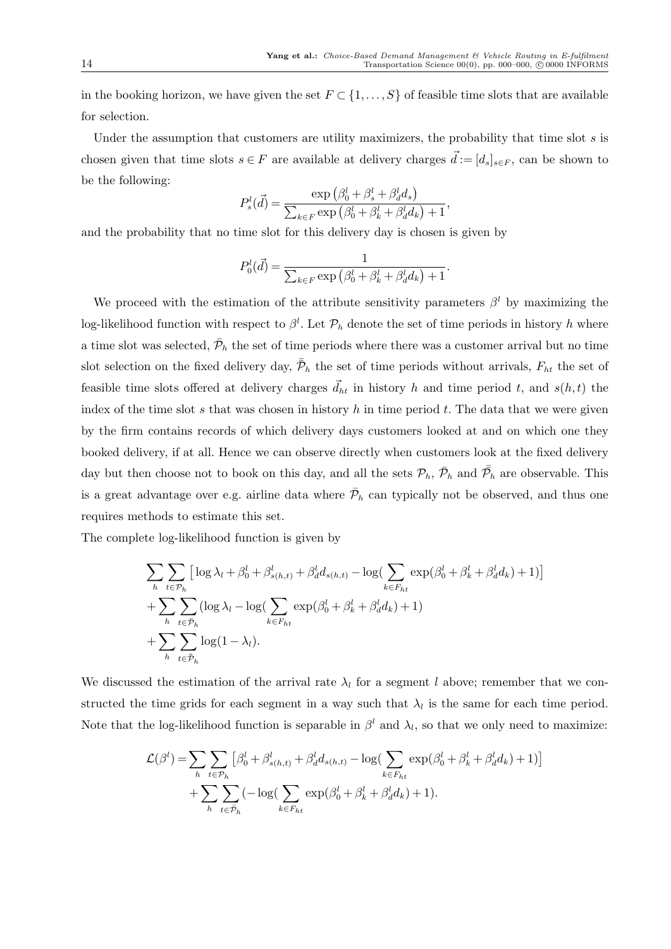in the booking horizon, we have given the set  $F \subset \{1,\ldots,S\}$  of feasible time slots that are available for selection.

Under the assumption that customers are utility maximizers, the probability that time slot  $s$  is chosen given that time slots  $s \in F$  are available at delivery charges  $\vec{d} := [d_s]_{s \in F}$ , can be shown to be the following:

$$
P_s^l(\vec{d}) = \frac{\exp\left(\beta_0^l + \beta_s^l + \beta_d^l d_s\right)}{\sum_{k \in F} \exp\left(\beta_0^l + \beta_k^l + \beta_d^l d_k\right) + 1},
$$

and the probability that no time slot for this delivery day is chosen is given by

$$
P_0^l(\vec{d}) = \frac{1}{\sum_{k \in F} \exp\left(\beta_0^l + \beta_k^l + \beta_d^l d_k\right) + 1}.
$$

We proceed with the estimation of the attribute sensitivity parameters  $\beta^{l}$  by maximizing the log-likelihood function with respect to  $\beta^l$ . Let  $\mathcal{P}_h$  denote the set of time periods in history h where a time slot was selected,  $\bar{\mathcal{P}}_h$  the set of time periods where there was a customer arrival but no time slot selection on the fixed delivery day,  $\bar{P}_h$  the set of time periods without arrivals,  $F_{ht}$  the set of feasible time slots offered at delivery charges  $\vec{d}_{ht}$  in history h and time period t, and  $s(h, t)$  the index of the time slot s that was chosen in history h in time period t. The data that we were given by the firm contains records of which delivery days customers looked at and on which one they booked delivery, if at all. Hence we can observe directly when customers look at the fixed delivery day but then choose not to book on this day, and all the sets  $\mathcal{P}_h$ ,  $\bar{\mathcal{P}}_h$  and  $\bar{\bar{\mathcal{P}}_h}$  are observable. This is a great advantage over e.g. airline data where  $\bar{\mathcal{P}}_h$  can typically not be observed, and thus one requires methods to estimate this set.

The complete log-likelihood function is given by

$$
\sum_{h} \sum_{t \in \mathcal{P}_h} \left[ \log \lambda_l + \beta_0^l + \beta_{s(h,t)}^l + \beta_d^l d_{s(h,t)} - \log \left( \sum_{k \in F_{ht}} \exp(\beta_0^l + \beta_k^l + \beta_d^l d_k) + 1 \right) \right] + \sum_{h} \sum_{t \in \mathcal{P}_h} (\log \lambda_l - \log \left( \sum_{k \in F_{ht}} \exp(\beta_0^l + \beta_k^l + \beta_d^l d_k) + 1) + \sum_{h} \sum_{t \in \mathcal{P}_h} \log(1 - \lambda_l).
$$

We discussed the estimation of the arrival rate  $\lambda_l$  for a segment l above; remember that we constructed the time grids for each segment in a way such that  $\lambda_l$  is the same for each time period. Note that the log-likelihood function is separable in  $\beta^l$  and  $\lambda_l$ , so that we only need to maximize:

$$
\mathcal{L}(\beta^l) = \sum_h \sum_{t \in \mathcal{P}_h} \left[ \beta_0^l + \beta_{s(h,t)}^l + \beta_d^l d_{s(h,t)} - \log(\sum_{k \in F_{ht}} \exp(\beta_0^l + \beta_k^l + \beta_d^l d_k) + 1) \right] + \sum_h \sum_{t \in \mathcal{P}_h} (-\log(\sum_{k \in F_{ht}} \exp(\beta_0^l + \beta_k^l + \beta_d^l d_k) + 1).
$$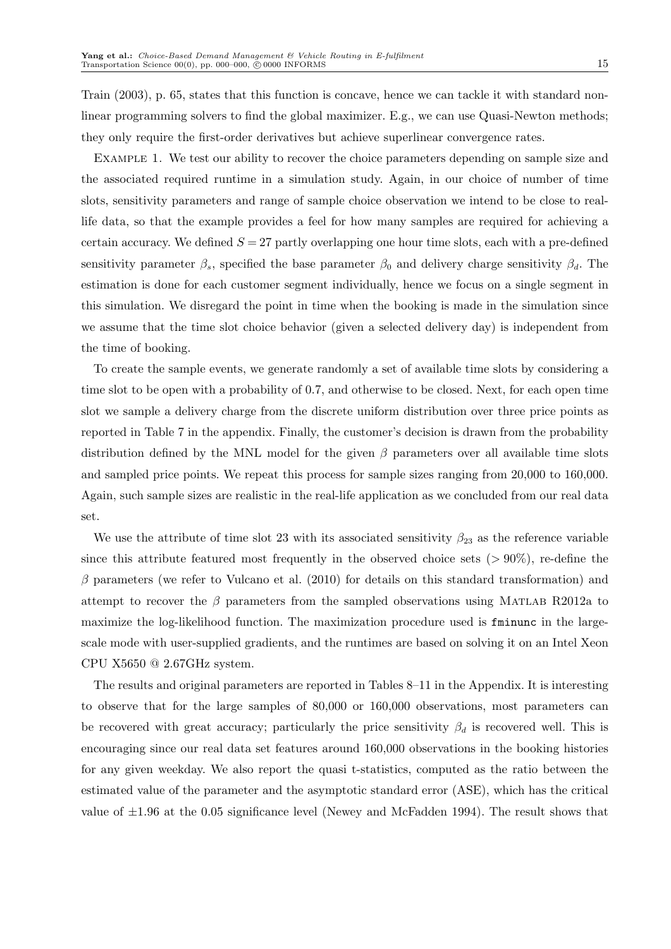Train (2003), p. 65, states that this function is concave, hence we can tackle it with standard nonlinear programming solvers to find the global maximizer. E.g., we can use Quasi-Newton methods; they only require the first-order derivatives but achieve superlinear convergence rates.

Example 1. We test our ability to recover the choice parameters depending on sample size and the associated required runtime in a simulation study. Again, in our choice of number of time slots, sensitivity parameters and range of sample choice observation we intend to be close to reallife data, so that the example provides a feel for how many samples are required for achieving a certain accuracy. We defined  $S = 27$  partly overlapping one hour time slots, each with a pre-defined sensitivity parameter  $\beta_s$ , specified the base parameter  $\beta_0$  and delivery charge sensitivity  $\beta_d$ . The estimation is done for each customer segment individually, hence we focus on a single segment in this simulation. We disregard the point in time when the booking is made in the simulation since we assume that the time slot choice behavior (given a selected delivery day) is independent from the time of booking.

To create the sample events, we generate randomly a set of available time slots by considering a time slot to be open with a probability of 0.7, and otherwise to be closed. Next, for each open time slot we sample a delivery charge from the discrete uniform distribution over three price points as reported in Table 7 in the appendix. Finally, the customer's decision is drawn from the probability distribution defined by the MNL model for the given  $\beta$  parameters over all available time slots and sampled price points. We repeat this process for sample sizes ranging from 20,000 to 160,000. Again, such sample sizes are realistic in the real-life application as we concluded from our real data set.

We use the attribute of time slot 23 with its associated sensitivity  $\beta_{23}$  as the reference variable since this attribute featured most frequently in the observed choice sets  $(>90\%)$ , re-define the  $\beta$  parameters (we refer to Vulcano et al. (2010) for details on this standard transformation) and attempt to recover the  $\beta$  parameters from the sampled observations using MATLAB R2012a to maximize the log-likelihood function. The maximization procedure used is fminunc in the largescale mode with user-supplied gradients, and the runtimes are based on solving it on an Intel Xeon CPU X5650 @ 2.67GHz system.

The results and original parameters are reported in Tables 8–11 in the Appendix. It is interesting to observe that for the large samples of 80,000 or 160,000 observations, most parameters can be recovered with great accuracy; particularly the price sensitivity  $\beta_d$  is recovered well. This is encouraging since our real data set features around 160,000 observations in the booking histories for any given weekday. We also report the quasi t-statistics, computed as the ratio between the estimated value of the parameter and the asymptotic standard error (ASE), which has the critical value of  $\pm 1.96$  at the 0.05 significance level (Newey and McFadden 1994). The result shows that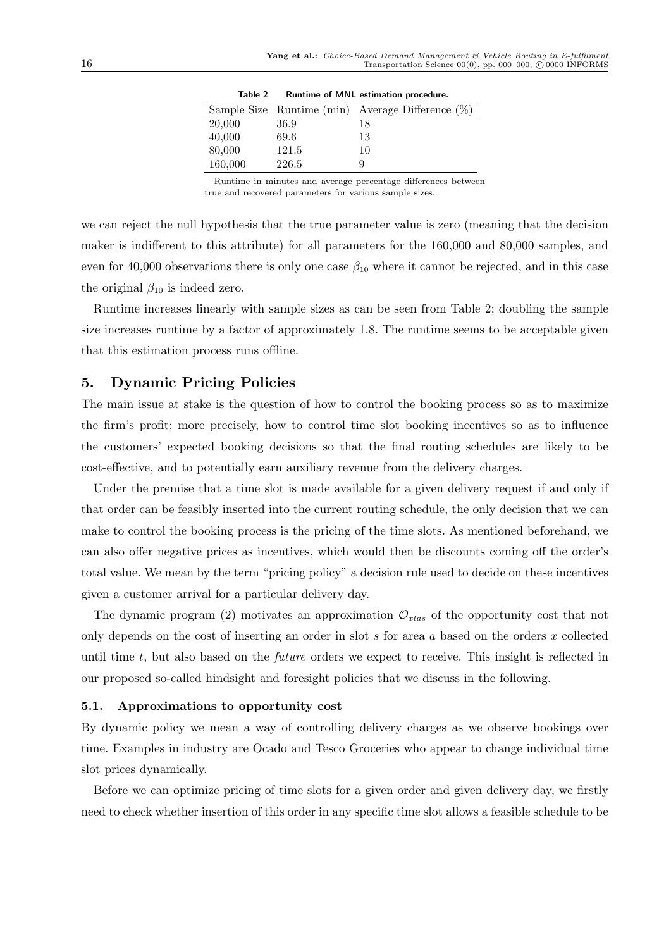| Table 2 |       | Runtime of MINL estimation procedure.               |
|---------|-------|-----------------------------------------------------|
|         |       | Sample Size Runtime (min) Average Difference $(\%)$ |
| 20,000  | 36.9  | 18                                                  |
| 40,000  | 69.6  | 13                                                  |
| 80,000  | 121.5 | 10                                                  |
| 160,000 | 226.5 |                                                     |

Table 2 Runtime of MNL estimation procedure.

Runtime in minutes and average percentage differences between true and recovered parameters for various sample sizes.

we can reject the null hypothesis that the true parameter value is zero (meaning that the decision maker is indifferent to this attribute) for all parameters for the 160,000 and 80,000 samples, and even for 40,000 observations there is only one case  $\beta_{10}$  where it cannot be rejected, and in this case the original  $\beta_{10}$  is indeed zero.

Runtime increases linearly with sample sizes as can be seen from Table 2; doubling the sample size increases runtime by a factor of approximately 1.8. The runtime seems to be acceptable given that this estimation process runs offline.

# 5. Dynamic Pricing Policies

The main issue at stake is the question of how to control the booking process so as to maximize the firm's profit; more precisely, how to control time slot booking incentives so as to influence the customers' expected booking decisions so that the final routing schedules are likely to be cost-effective, and to potentially earn auxiliary revenue from the delivery charges.

Under the premise that a time slot is made available for a given delivery request if and only if that order can be feasibly inserted into the current routing schedule, the only decision that we can make to control the booking process is the pricing of the time slots. As mentioned beforehand, we can also offer negative prices as incentives, which would then be discounts coming off the order's total value. We mean by the term "pricing policy" a decision rule used to decide on these incentives given a customer arrival for a particular delivery day.

The dynamic program (2) motivates an approximation  $\mathcal{O}_{x \alpha s}$  of the opportunity cost that not only depends on the cost of inserting an order in slot  $s$  for area  $a$  based on the orders  $x$  collected until time  $t$ , but also based on the *future* orders we expect to receive. This insight is reflected in our proposed so-called hindsight and foresight policies that we discuss in the following.

#### 5.1. Approximations to opportunity cost

By dynamic policy we mean a way of controlling delivery charges as we observe bookings over time. Examples in industry are Ocado and Tesco Groceries who appear to change individual time slot prices dynamically.

Before we can optimize pricing of time slots for a given order and given delivery day, we firstly need to check whether insertion of this order in any specific time slot allows a feasible schedule to be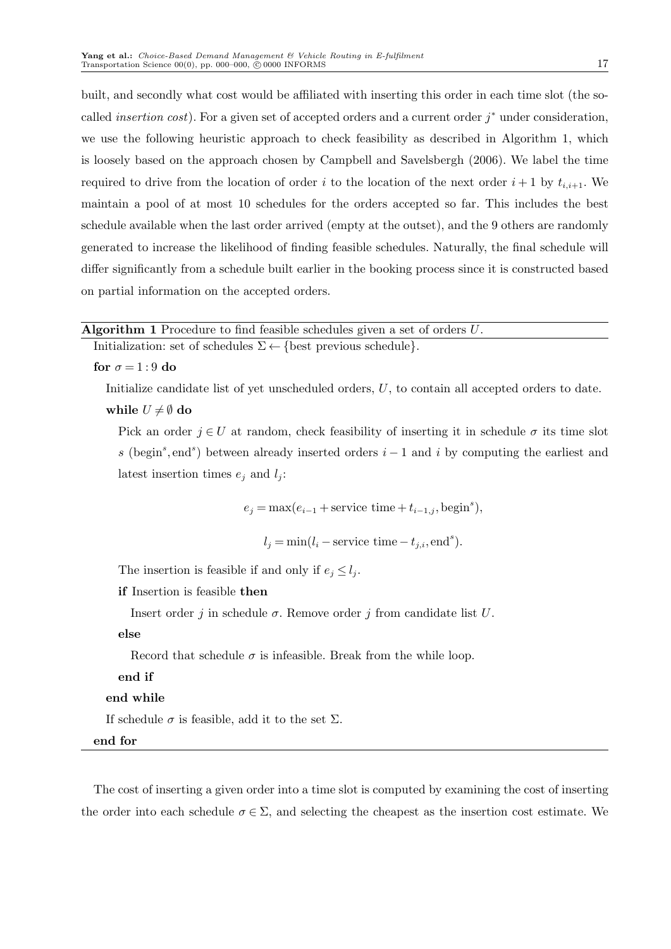built, and secondly what cost would be affiliated with inserting this order in each time slot (the socalled *insertion cost*). For a given set of accepted orders and a current order  $j^*$  under consideration, we use the following heuristic approach to check feasibility as described in Algorithm 1, which is loosely based on the approach chosen by Campbell and Savelsbergh (2006). We label the time required to drive from the location of order i to the location of the next order  $i+1$  by  $t_{i,i+1}$ . We maintain a pool of at most 10 schedules for the orders accepted so far. This includes the best schedule available when the last order arrived (empty at the outset), and the 9 others are randomly generated to increase the likelihood of finding feasible schedules. Naturally, the final schedule will differ significantly from a schedule built earlier in the booking process since it is constructed based on partial information on the accepted orders.

| <b>Algorithm 1</b> Procedure to find feasible schedules given a set of orders $U$ . |  |
|-------------------------------------------------------------------------------------|--|
|-------------------------------------------------------------------------------------|--|

Initialization: set of schedules  $\Sigma \leftarrow \{\text{best previous schedule}\}.$ 

for  $\sigma = 1:9$  do

Initialize candidate list of yet unscheduled orders, U, to contain all accepted orders to date. while  $U \neq \emptyset$  do

Pick an order  $j \in U$  at random, check feasibility of inserting it in schedule  $\sigma$  its time slot s (begin<sup>s</sup>, end<sup>s</sup>) between already inserted orders  $i-1$  and i by computing the earliest and latest insertion times  $e_j$  and  $l_j$ :

 $e_j = \max(e_{i-1} + \text{service time} + t_{i-1,j}, \text{begin}^s),$ 

 $l_j = \min(l_i - \text{service time} - t_{j,i}, \text{end}^s).$ 

The insertion is feasible if and only if  $e_j \leq l_j$ .

```
if Insertion is feasible then
```
Insert order j in schedule  $\sigma$ . Remove order j from candidate list U.

else

Record that schedule  $\sigma$  is infeasible. Break from the while loop.

end if

end while

If schedule  $\sigma$  is feasible, add it to the set  $\Sigma$ .

end for

The cost of inserting a given order into a time slot is computed by examining the cost of inserting the order into each schedule  $\sigma \in \Sigma$ , and selecting the cheapest as the insertion cost estimate. We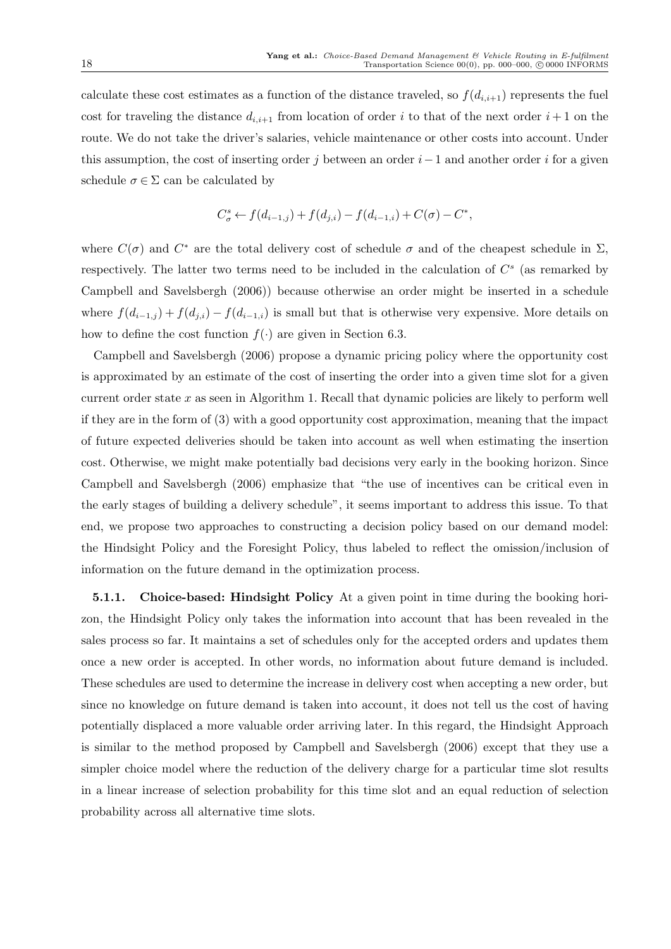calculate these cost estimates as a function of the distance traveled, so  $f(d_{i,i+1})$  represents the fuel cost for traveling the distance  $d_{i,i+1}$  from location of order i to that of the next order  $i+1$  on the route. We do not take the driver's salaries, vehicle maintenance or other costs into account. Under this assumption, the cost of inserting order j between an order  $i-1$  and another order i for a given schedule  $\sigma \in \Sigma$  can be calculated by

$$
C^s_{\sigma} \leftarrow f(d_{i-1,j}) + f(d_{j,i}) - f(d_{i-1,i}) + C(\sigma) - C^*,
$$

where  $C(\sigma)$  and  $C^*$  are the total delivery cost of schedule  $\sigma$  and of the cheapest schedule in  $\Sigma$ , respectively. The latter two terms need to be included in the calculation of  $C^s$  (as remarked by Campbell and Savelsbergh (2006)) because otherwise an order might be inserted in a schedule where  $f(d_{i-1,j}) + f(d_{j,i}) - f(d_{i-1,i})$  is small but that is otherwise very expensive. More details on how to define the cost function  $f(\cdot)$  are given in Section 6.3.

Campbell and Savelsbergh (2006) propose a dynamic pricing policy where the opportunity cost is approximated by an estimate of the cost of inserting the order into a given time slot for a given current order state x as seen in Algorithm 1. Recall that dynamic policies are likely to perform well if they are in the form of (3) with a good opportunity cost approximation, meaning that the impact of future expected deliveries should be taken into account as well when estimating the insertion cost. Otherwise, we might make potentially bad decisions very early in the booking horizon. Since Campbell and Savelsbergh (2006) emphasize that "the use of incentives can be critical even in the early stages of building a delivery schedule", it seems important to address this issue. To that end, we propose two approaches to constructing a decision policy based on our demand model: the Hindsight Policy and the Foresight Policy, thus labeled to reflect the omission/inclusion of information on the future demand in the optimization process.

5.1.1. Choice-based: Hindsight Policy At a given point in time during the booking horizon, the Hindsight Policy only takes the information into account that has been revealed in the sales process so far. It maintains a set of schedules only for the accepted orders and updates them once a new order is accepted. In other words, no information about future demand is included. These schedules are used to determine the increase in delivery cost when accepting a new order, but since no knowledge on future demand is taken into account, it does not tell us the cost of having potentially displaced a more valuable order arriving later. In this regard, the Hindsight Approach is similar to the method proposed by Campbell and Savelsbergh (2006) except that they use a simpler choice model where the reduction of the delivery charge for a particular time slot results in a linear increase of selection probability for this time slot and an equal reduction of selection probability across all alternative time slots.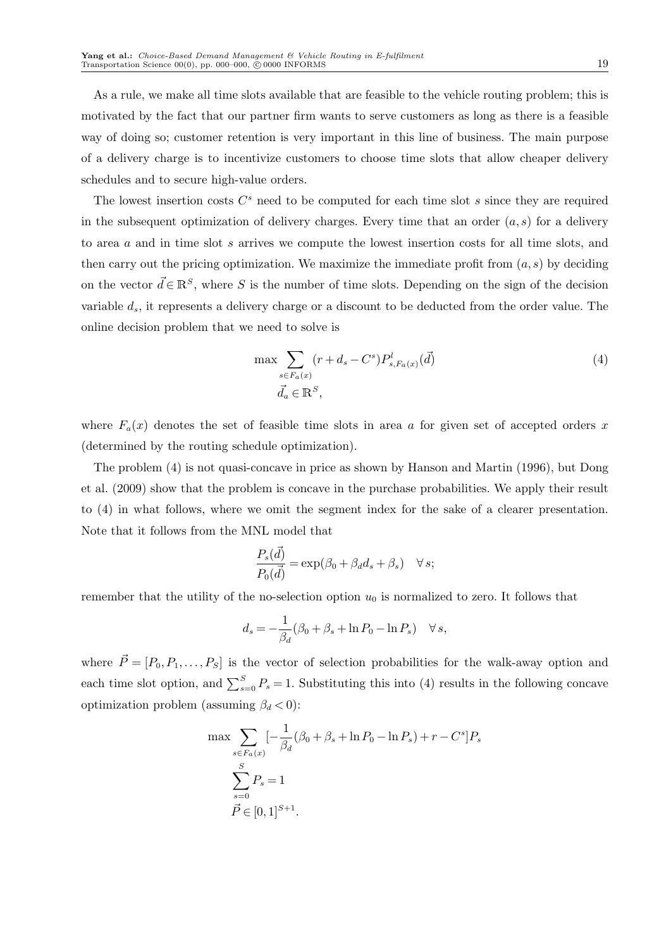As a rule, we make all time slots available that are feasible to the vehicle routing problem; this is motivated by the fact that our partner firm wants to serve customers as long as there is a feasible way of doing so; customer retention is very important in this line of business. The main purpose of a delivery charge is to incentivize customers to choose time slots that allow cheaper delivery schedules and to secure high-value orders.

The lowest insertion costs  $C<sup>s</sup>$  need to be computed for each time slot  $s$  since they are required in the subsequent optimization of delivery charges. Every time that an order  $(a, s)$  for a delivery to area a and in time slot s arrives we compute the lowest insertion costs for all time slots, and then carry out the pricing optimization. We maximize the immediate profit from  $(a, s)$  by deciding on the vector  $\vec{d} \in \mathbb{R}^S$ , where S is the number of time slots. Depending on the sign of the decision variable  $d_s$ , it represents a delivery charge or a discount to be deducted from the order value. The online decision problem that we need to solve is

$$
\max \sum_{\substack{s \in F_a(x) \\ \vec{d}_a \in \mathbb{R}^S,}} (r + d_s - C^s) P_{s, F_a(x)}^l(\vec{d})
$$
\n
$$
(4)
$$

where  $F_a(x)$  denotes the set of feasible time slots in area a for given set of accepted orders x (determined by the routing schedule optimization).

The problem (4) is not quasi-concave in price as shown by Hanson and Martin (1996), but Dong et al. (2009) show that the problem is concave in the purchase probabilities. We apply their result to (4) in what follows, where we omit the segment index for the sake of a clearer presentation. Note that it follows from the MNL model that

$$
\frac{P_s(\vec{d})}{P_0(\vec{d})} = \exp(\beta_0 + \beta_d d_s + \beta_s) \quad \forall s;
$$

remember that the utility of the no-selection option  $u_0$  is normalized to zero. It follows that

$$
d_s = -\frac{1}{\beta_d} (\beta_0 + \beta_s + \ln P_0 - \ln P_s) \quad \forall s,
$$

where  $\vec{P} = [P_0, P_1, \ldots, P_S]$  is the vector of selection probabilities for the walk-away option and each time slot option, and  $\sum_{s=0}^{S} P_s = 1$ . Substituting this into (4) results in the following concave optimization problem (assuming  $\beta_d < 0$ ):

$$
\max \sum_{s \in F_a(x)} \left[ -\frac{1}{\beta_d} (\beta_0 + \beta_s + \ln P_0 - \ln P_s) + r - C^s \right] P_s
$$
  

$$
\sum_{s=0}^S P_s = 1
$$
  

$$
\vec{P} \in [0, 1]^{S+1}.
$$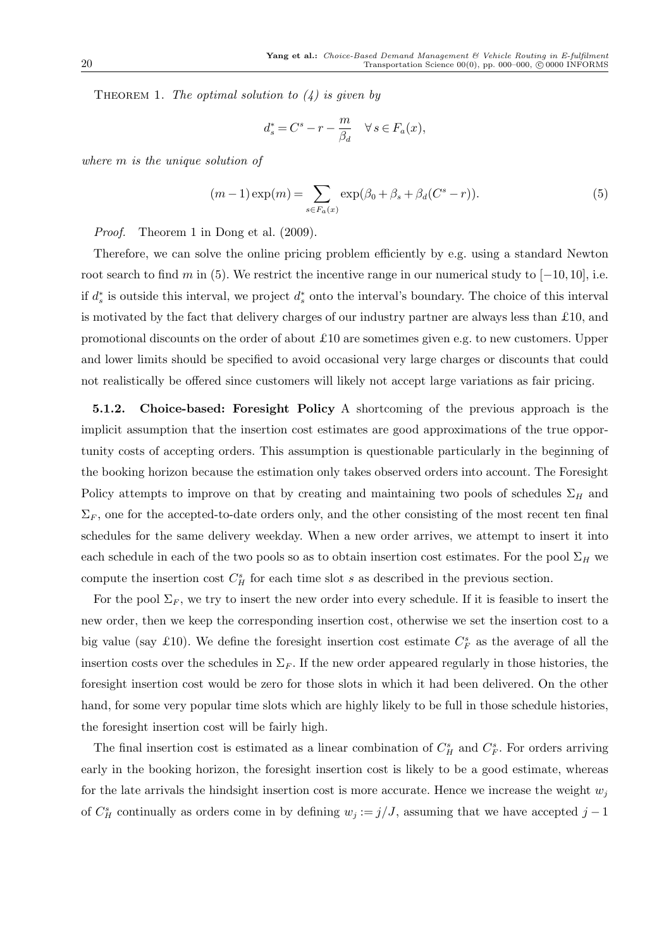THEOREM 1. The optimal solution to  $(4)$  is given by

$$
d_s^* = C^s - r - \frac{m}{\beta_d} \quad \forall \, s \in F_a(x),
$$

where m is the unique solution of

$$
(m-1)\exp(m) = \sum_{s \in F_a(x)} \exp(\beta_0 + \beta_s + \beta_d(C^s - r)).
$$
\n(5)

Proof. Theorem 1 in Dong et al. (2009).

Therefore, we can solve the online pricing problem efficiently by e.g. using a standard Newton root search to find m in (5). We restrict the incentive range in our numerical study to  $[-10, 10]$ , i.e. if  $d_s^*$  is outside this interval, we project  $d_s^*$  onto the interval's boundary. The choice of this interval is motivated by the fact that delivery charges of our industry partner are always less than £10, and promotional discounts on the order of about £10 are sometimes given e.g. to new customers. Upper and lower limits should be specified to avoid occasional very large charges or discounts that could not realistically be offered since customers will likely not accept large variations as fair pricing.

5.1.2. Choice-based: Foresight Policy A shortcoming of the previous approach is the implicit assumption that the insertion cost estimates are good approximations of the true opportunity costs of accepting orders. This assumption is questionable particularly in the beginning of the booking horizon because the estimation only takes observed orders into account. The Foresight Policy attempts to improve on that by creating and maintaining two pools of schedules  $\Sigma_H$  and  $\Sigma_F$ , one for the accepted-to-date orders only, and the other consisting of the most recent ten final schedules for the same delivery weekday. When a new order arrives, we attempt to insert it into each schedule in each of the two pools so as to obtain insertion cost estimates. For the pool  $\Sigma_H$  we compute the insertion cost  $C_H^s$  for each time slot s as described in the previous section.

For the pool  $\Sigma_F$ , we try to insert the new order into every schedule. If it is feasible to insert the new order, then we keep the corresponding insertion cost, otherwise we set the insertion cost to a big value (say £10). We define the foresight insertion cost estimate  $C_F^s$  as the average of all the insertion costs over the schedules in  $\Sigma_F$ . If the new order appeared regularly in those histories, the foresight insertion cost would be zero for those slots in which it had been delivered. On the other hand, for some very popular time slots which are highly likely to be full in those schedule histories, the foresight insertion cost will be fairly high.

The final insertion cost is estimated as a linear combination of  $C_H^s$  and  $C_F^s$ . For orders arriving early in the booking horizon, the foresight insertion cost is likely to be a good estimate, whereas for the late arrivals the hindsight insertion cost is more accurate. Hence we increase the weight  $w_i$ of  $C_H^s$  continually as orders come in by defining  $w_j := j/J$ , assuming that we have accepted  $j-1$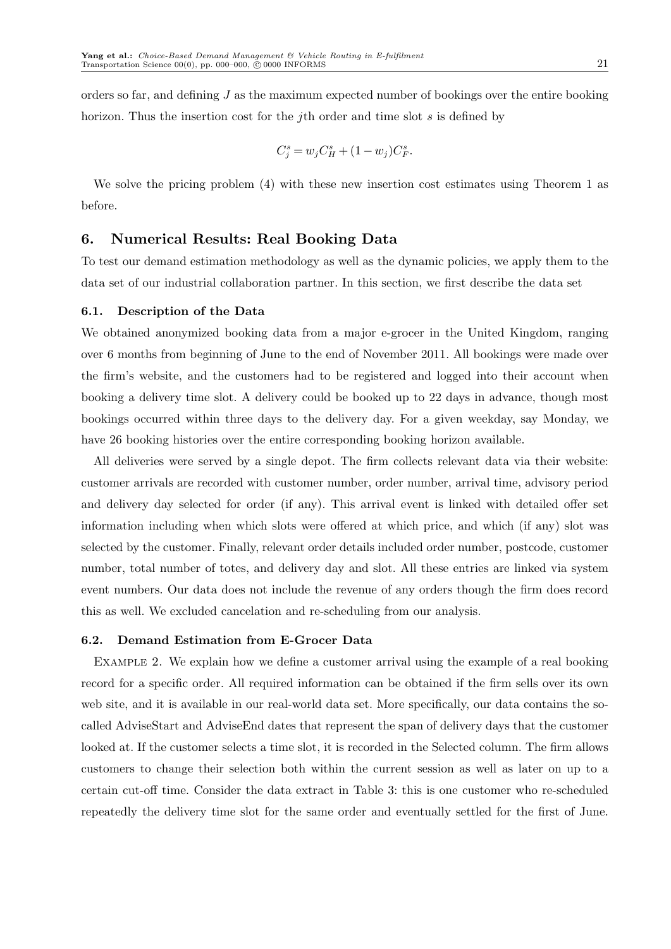orders so far, and defining J as the maximum expected number of bookings over the entire booking horizon. Thus the insertion cost for the jth order and time slot s is defined by

$$
C_j^s = w_j C_H^s + (1 - w_j) C_F^s.
$$

We solve the pricing problem (4) with these new insertion cost estimates using Theorem 1 as before.

# 6. Numerical Results: Real Booking Data

To test our demand estimation methodology as well as the dynamic policies, we apply them to the data set of our industrial collaboration partner. In this section, we first describe the data set

#### 6.1. Description of the Data

We obtained anonymized booking data from a major e-grocer in the United Kingdom, ranging over 6 months from beginning of June to the end of November 2011. All bookings were made over the firm's website, and the customers had to be registered and logged into their account when booking a delivery time slot. A delivery could be booked up to 22 days in advance, though most bookings occurred within three days to the delivery day. For a given weekday, say Monday, we have 26 booking histories over the entire corresponding booking horizon available.

All deliveries were served by a single depot. The firm collects relevant data via their website: customer arrivals are recorded with customer number, order number, arrival time, advisory period and delivery day selected for order (if any). This arrival event is linked with detailed offer set information including when which slots were offered at which price, and which (if any) slot was selected by the customer. Finally, relevant order details included order number, postcode, customer number, total number of totes, and delivery day and slot. All these entries are linked via system event numbers. Our data does not include the revenue of any orders though the firm does record this as well. We excluded cancelation and re-scheduling from our analysis.

#### 6.2. Demand Estimation from E-Grocer Data

Example 2. We explain how we define a customer arrival using the example of a real booking record for a specific order. All required information can be obtained if the firm sells over its own web site, and it is available in our real-world data set. More specifically, our data contains the socalled AdviseStart and AdviseEnd dates that represent the span of delivery days that the customer looked at. If the customer selects a time slot, it is recorded in the Selected column. The firm allows customers to change their selection both within the current session as well as later on up to a certain cut-off time. Consider the data extract in Table 3: this is one customer who re-scheduled repeatedly the delivery time slot for the same order and eventually settled for the first of June.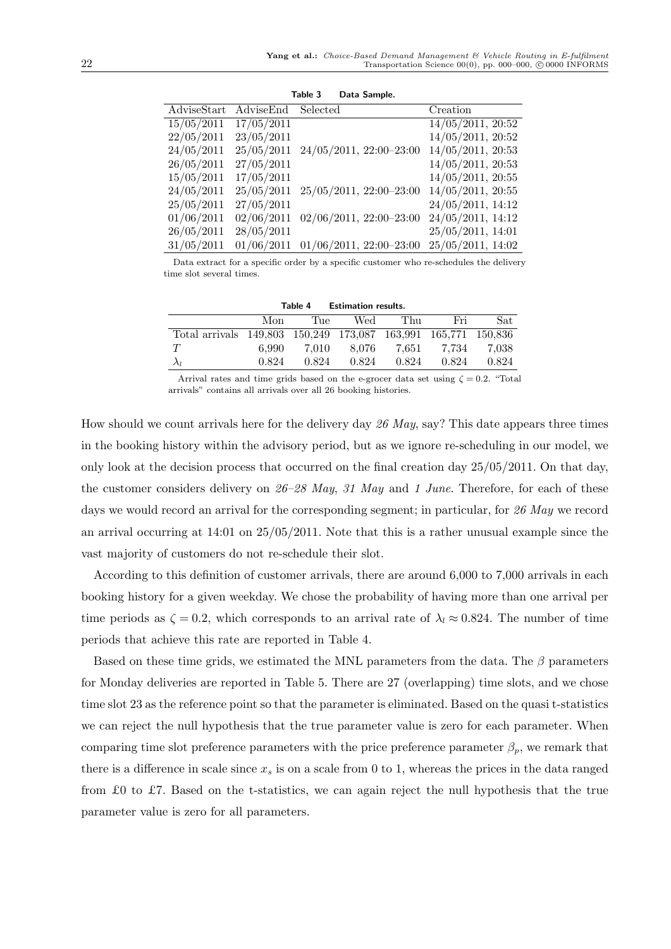| AdviseStart | AdviseEnd  | Selected                     | Creation               |
|-------------|------------|------------------------------|------------------------|
| 15/05/2011  | 17/05/2011 |                              | $14/05/2011$ , $20:52$ |
| 22/05/2011  | 23/05/2011 |                              | $14/05/2011$ , $20:52$ |
| 24/05/2011  | 25/05/2011 | $24/05/2011$ , $22:00-23:00$ | $14/05/2011$ , 20:53   |
| 26/05/2011  | 27/05/2011 |                              | $14/05/2011$ , 20:53   |
| 15/05/2011  | 17/05/2011 |                              | $14/05/2011$ , 20:55   |
| 24/05/2011  | 25/05/2011 | $25/05/2011$ , $22:00-23:00$ | $14/05/2011$ , 20:55   |
| 25/05/2011  | 27/05/2011 |                              | 24/05/2011, 14:12      |
| 01/06/2011  | 02/06/2011 | $02/06/2011$ , $22:00-23:00$ | $24/05/2011$ , 14:12   |
| 26/05/2011  | 28/05/2011 |                              | $25/05/2011$ , 14:01   |
| 31/05/2011  | 01/06/2011 | $01/06/2011$ , $22:00-23:00$ | $25/05/2011$ , 14:02   |

Table 3 Data Sample.

Data extract for a specific order by a specific customer who re-schedules the delivery time slot several times.

| Table 4<br><b>Estimation results.</b>                          |       |       |       |       |       |       |  |
|----------------------------------------------------------------|-------|-------|-------|-------|-------|-------|--|
|                                                                | Mon   | Tue   | Wed   | Thu   | Fri   | Sat   |  |
| Total arrivals 149,803 150,249 173,087 163,991 165,771 150,836 |       |       |       |       |       |       |  |
| T                                                              | 6.990 | 7.010 | 8.076 | 7.651 | 7.734 | 7.038 |  |
|                                                                | 0.824 | 0.824 | 0.824 | 0.824 | 0.824 | 0.824 |  |

Arrival rates and time grids based on the e-grocer data set using  $\zeta = 0.2$ . "Total arrivals" contains all arrivals over all 26 booking histories.

How should we count arrivals here for the delivery day 26 May, say? This date appears three times in the booking history within the advisory period, but as we ignore re-scheduling in our model, we only look at the decision process that occurred on the final creation day 25/05/2011. On that day, the customer considers delivery on  $26-28$  May, 31 May and 1 June. Therefore, for each of these days we would record an arrival for the corresponding segment; in particular, for 26 May we record an arrival occurring at 14:01 on 25/05/2011. Note that this is a rather unusual example since the vast majority of customers do not re-schedule their slot.

According to this definition of customer arrivals, there are around 6,000 to 7,000 arrivals in each booking history for a given weekday. We chose the probability of having more than one arrival per time periods as  $\zeta = 0.2$ , which corresponds to an arrival rate of  $\lambda_l \approx 0.824$ . The number of time periods that achieve this rate are reported in Table 4.

Based on these time grids, we estimated the MNL parameters from the data. The  $\beta$  parameters for Monday deliveries are reported in Table 5. There are 27 (overlapping) time slots, and we chose time slot 23 as the reference point so that the parameter is eliminated. Based on the quasi t-statistics we can reject the null hypothesis that the true parameter value is zero for each parameter. When comparing time slot preference parameters with the price preference parameter  $\beta_p$ , we remark that there is a difference in scale since  $x_s$  is on a scale from 0 to 1, whereas the prices in the data ranged from £0 to £7. Based on the t-statistics, we can again reject the null hypothesis that the true parameter value is zero for all parameters.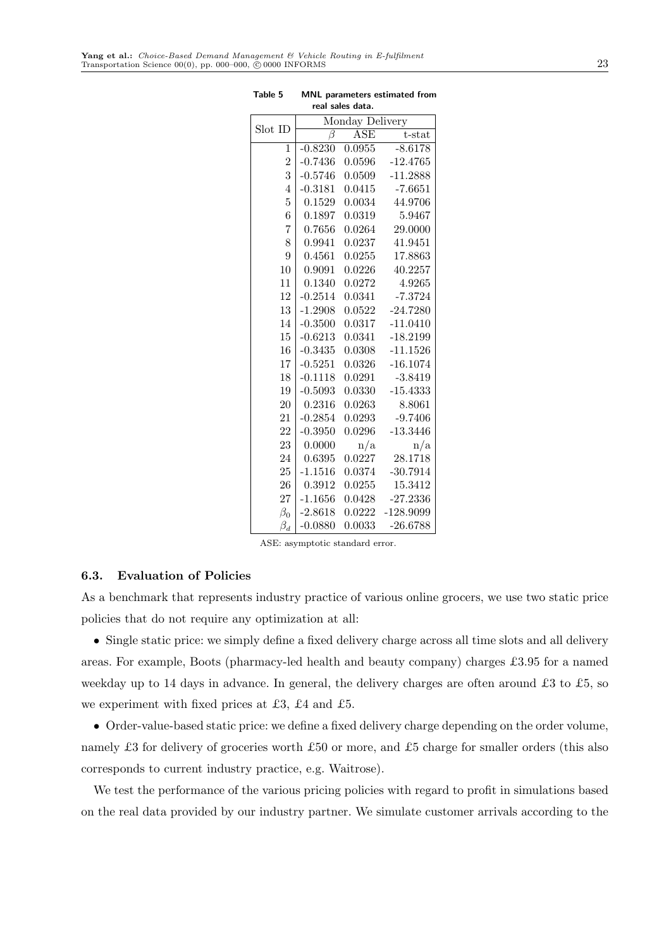| saics uata.    |                    |            |             |  |  |  |
|----------------|--------------------|------------|-------------|--|--|--|
| Slot ID        | Monday Delivery    |            |             |  |  |  |
|                | $\overline{\beta}$ | <b>ASE</b> | t-stat      |  |  |  |
| $\mathbf 1$    | $-0.8230$          | 0.0955     | $-8.6178$   |  |  |  |
| $\overline{2}$ | $-0.7436$          | 0.0596     | $-12.4765$  |  |  |  |
| 3              | $-0.5746$          | 0.0509     | $-11.2888$  |  |  |  |
| $\overline{4}$ | $-0.3181$          | 0.0415     | $-7.6651$   |  |  |  |
| $\overline{5}$ | 0.1529             | 0.0034     | 44.9706     |  |  |  |
| 6              | 0.1897             | 0.0319     | 5.9467      |  |  |  |
| $\overline{7}$ | 0.7656             | 0.0264     | 29.0000     |  |  |  |
| 8              | 0.9941             | 0.0237     | 41.9451     |  |  |  |
| 9              | 0.4561             | 0.0255     | 17.8863     |  |  |  |
| 10             | 0.9091             | 0.0226     | 40.2257     |  |  |  |
| 11             | 0.1340             | 0.0272     | 4.9265      |  |  |  |
| 12             | $-0.2514$          | 0.0341     | $-7.3724$   |  |  |  |
| 13             | $-1.2908$          | 0.0522     | $-24.7280$  |  |  |  |
| 14             | $-0.3500$          | 0.0317     | $-11.0410$  |  |  |  |
| 15             | $-0.6213$          | 0.0341     | $-18.2199$  |  |  |  |
| 16             | $-0.3435$          | 0.0308     | $-11.1526$  |  |  |  |
| 17             | $-0.5251$          | 0.0326     | $-16.1074$  |  |  |  |
| 18             | $-0.1118$          | 0.0291     | $-3.8419$   |  |  |  |
| 19             | $-0.5093$          | 0.0330     | $-15.4333$  |  |  |  |
| 20             | 0.2316             | 0.0263     | 8.8061      |  |  |  |
| 21             | $-0.2854$          | 0.0293     | $-9.7406$   |  |  |  |
| 22             | $-0.3950$          | 0.0296     | $-13.3446$  |  |  |  |
| 23             | 0.0000             | n/a        | n/a         |  |  |  |
| 24             | 0.6395             | 0.0227     | 28.1718     |  |  |  |
| 25             | $-1.1516$          | 0.0374     | $-30.7914$  |  |  |  |
| 26             | 0.3912             | 0.0255     | 15.3412     |  |  |  |
| 27             | $-1.1656$          | 0.0428     | -27.2336    |  |  |  |
| $\beta_0$      | $-2.8618$          | 0.0222     | $-128.9099$ |  |  |  |
| $\beta_d$      | $-0.0880$          | 0.0033     | $-26.6788$  |  |  |  |

Table 5 MNL parameters estimated from real sales data.

ASE: asymptotic standard error.

## 6.3. Evaluation of Policies

As a benchmark that represents industry practice of various online grocers, we use two static price policies that do not require any optimization at all:

• Single static price: we simply define a fixed delivery charge across all time slots and all delivery areas. For example, Boots (pharmacy-led health and beauty company) charges £3.95 for a named weekday up to 14 days in advance. In general, the delivery charges are often around £3 to £5, so we experiment with fixed prices at £3, £4 and £5.

• Order-value-based static price: we define a fixed delivery charge depending on the order volume, namely £3 for delivery of groceries worth £50 or more, and £5 charge for smaller orders (this also corresponds to current industry practice, e.g. Waitrose).

We test the performance of the various pricing policies with regard to profit in simulations based on the real data provided by our industry partner. We simulate customer arrivals according to the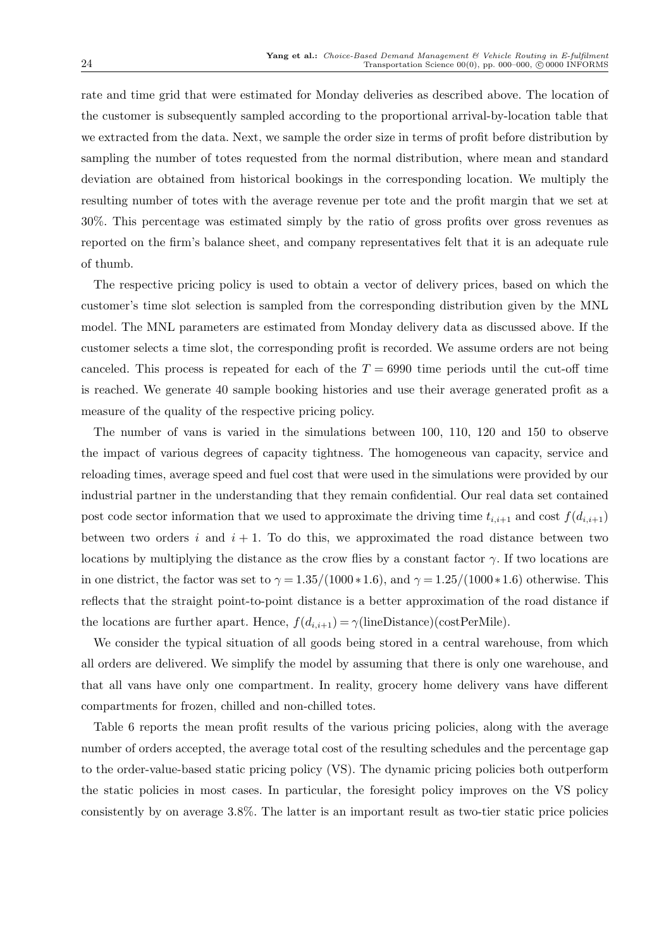rate and time grid that were estimated for Monday deliveries as described above. The location of the customer is subsequently sampled according to the proportional arrival-by-location table that we extracted from the data. Next, we sample the order size in terms of profit before distribution by sampling the number of totes requested from the normal distribution, where mean and standard deviation are obtained from historical bookings in the corresponding location. We multiply the resulting number of totes with the average revenue per tote and the profit margin that we set at 30%. This percentage was estimated simply by the ratio of gross profits over gross revenues as reported on the firm's balance sheet, and company representatives felt that it is an adequate rule of thumb.

The respective pricing policy is used to obtain a vector of delivery prices, based on which the customer's time slot selection is sampled from the corresponding distribution given by the MNL model. The MNL parameters are estimated from Monday delivery data as discussed above. If the customer selects a time slot, the corresponding profit is recorded. We assume orders are not being canceled. This process is repeated for each of the  $T = 6990$  time periods until the cut-off time is reached. We generate 40 sample booking histories and use their average generated profit as a measure of the quality of the respective pricing policy.

The number of vans is varied in the simulations between 100, 110, 120 and 150 to observe the impact of various degrees of capacity tightness. The homogeneous van capacity, service and reloading times, average speed and fuel cost that were used in the simulations were provided by our industrial partner in the understanding that they remain confidential. Our real data set contained post code sector information that we used to approximate the driving time  $t_{i,i+1}$  and cost  $f(d_{i,i+1})$ between two orders i and  $i + 1$ . To do this, we approximated the road distance between two locations by multiplying the distance as the crow flies by a constant factor  $\gamma$ . If two locations are in one district, the factor was set to  $\gamma = 1.35/(1000 * 1.6)$ , and  $\gamma = 1.25/(1000 * 1.6)$  otherwise. This reflects that the straight point-to-point distance is a better approximation of the road distance if the locations are further apart. Hence,  $f(d_{i,i+1}) = \gamma$ (lineDistance)(costPerMile).

We consider the typical situation of all goods being stored in a central warehouse, from which all orders are delivered. We simplify the model by assuming that there is only one warehouse, and that all vans have only one compartment. In reality, grocery home delivery vans have different compartments for frozen, chilled and non-chilled totes.

Table 6 reports the mean profit results of the various pricing policies, along with the average number of orders accepted, the average total cost of the resulting schedules and the percentage gap to the order-value-based static pricing policy (VS). The dynamic pricing policies both outperform the static policies in most cases. In particular, the foresight policy improves on the VS policy consistently by on average 3.8%. The latter is an important result as two-tier static price policies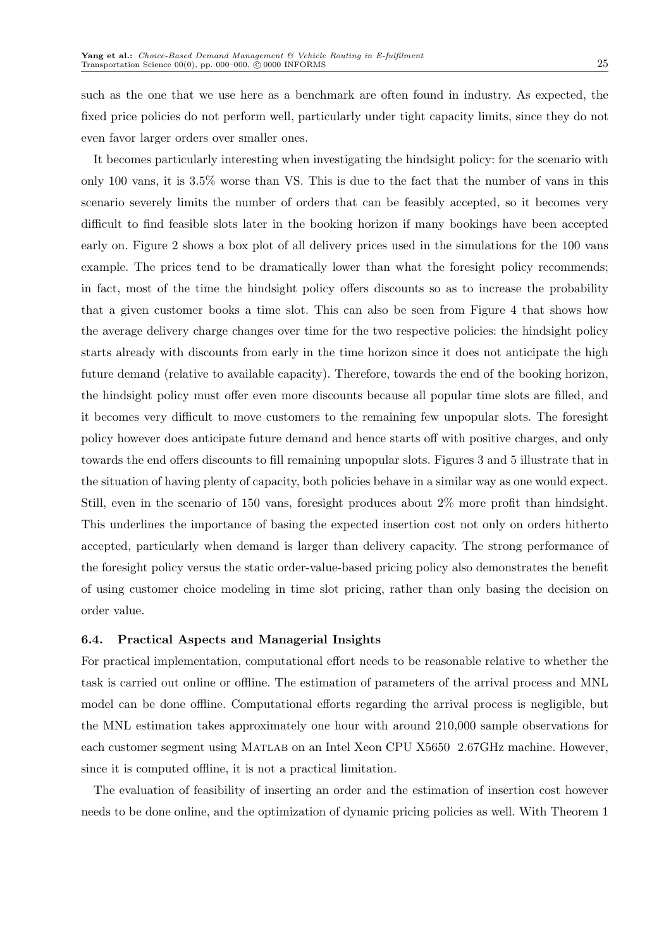such as the one that we use here as a benchmark are often found in industry. As expected, the fixed price policies do not perform well, particularly under tight capacity limits, since they do not even favor larger orders over smaller ones.

It becomes particularly interesting when investigating the hindsight policy: for the scenario with only 100 vans, it is 3.5% worse than VS. This is due to the fact that the number of vans in this scenario severely limits the number of orders that can be feasibly accepted, so it becomes very difficult to find feasible slots later in the booking horizon if many bookings have been accepted early on. Figure 2 shows a box plot of all delivery prices used in the simulations for the 100 vans example. The prices tend to be dramatically lower than what the foresight policy recommends; in fact, most of the time the hindsight policy offers discounts so as to increase the probability that a given customer books a time slot. This can also be seen from Figure 4 that shows how the average delivery charge changes over time for the two respective policies: the hindsight policy starts already with discounts from early in the time horizon since it does not anticipate the high future demand (relative to available capacity). Therefore, towards the end of the booking horizon, the hindsight policy must offer even more discounts because all popular time slots are filled, and it becomes very difficult to move customers to the remaining few unpopular slots. The foresight policy however does anticipate future demand and hence starts off with positive charges, and only towards the end offers discounts to fill remaining unpopular slots. Figures 3 and 5 illustrate that in the situation of having plenty of capacity, both policies behave in a similar way as one would expect. Still, even in the scenario of 150 vans, foresight produces about 2% more profit than hindsight. This underlines the importance of basing the expected insertion cost not only on orders hitherto accepted, particularly when demand is larger than delivery capacity. The strong performance of the foresight policy versus the static order-value-based pricing policy also demonstrates the benefit of using customer choice modeling in time slot pricing, rather than only basing the decision on order value.

## 6.4. Practical Aspects and Managerial Insights

For practical implementation, computational effort needs to be reasonable relative to whether the task is carried out online or offline. The estimation of parameters of the arrival process and MNL model can be done offline. Computational efforts regarding the arrival process is negligible, but the MNL estimation takes approximately one hour with around 210,000 sample observations for each customer segment using Matlab on an Intel Xeon CPU X5650 2.67GHz machine. However, since it is computed offline, it is not a practical limitation.

The evaluation of feasibility of inserting an order and the estimation of insertion cost however needs to be done online, and the optimization of dynamic pricing policies as well. With Theorem 1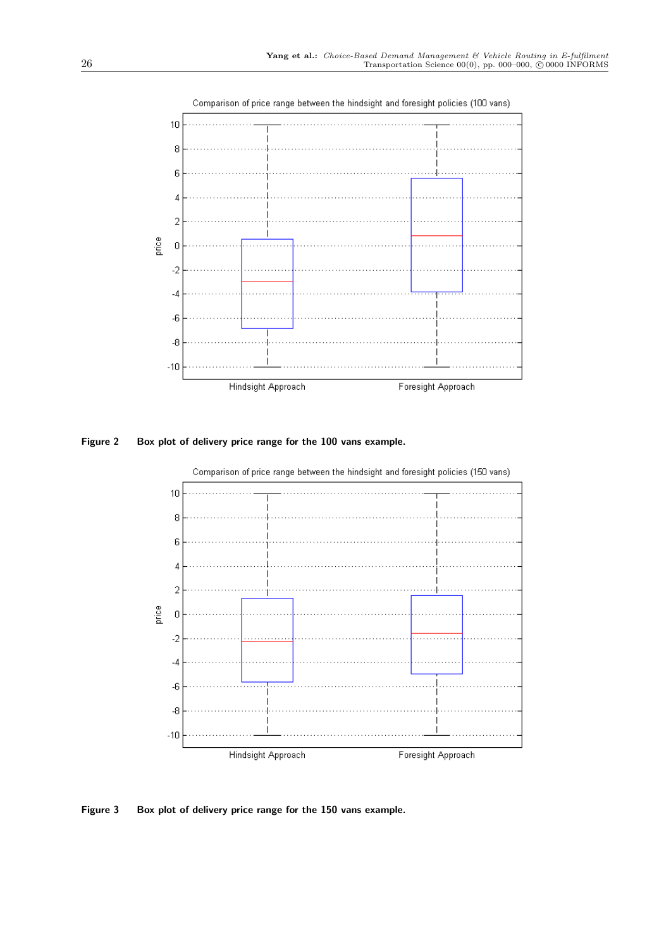

Figure 2 Box plot of delivery price range for the 100 vans example.



Comparison of price range between the hindsight and foresight policies (150 vans)

Figure 3 Box plot of delivery price range for the 150 vans example.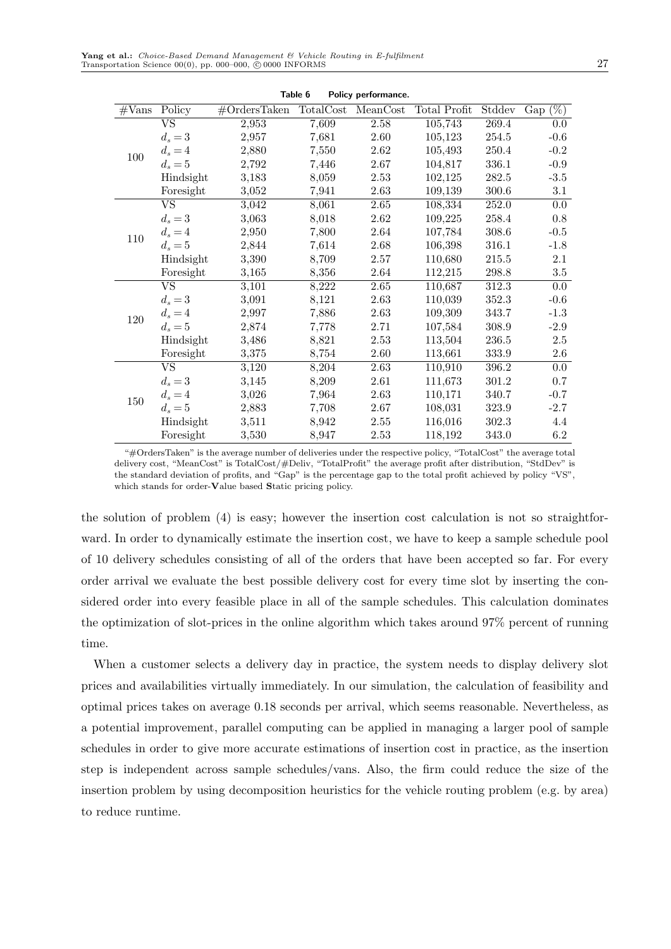| Table 6<br>Policy performance. |                          |                  |           |          |              |        |               |
|--------------------------------|--------------------------|------------------|-----------|----------|--------------|--------|---------------|
| $\#\text{Vans}$                | Policy                   | $\#$ OrdersTaken | TotalCost | MeanCost | Total Profit | Stddev | $(\%)$<br>Gap |
| 100                            | $\overline{\mathrm{VS}}$ | 2,953            | 7,609     | 2.58     | 105,743      | 269.4  | 0.0           |
|                                | $d_s = 3$                | 2,957            | 7,681     | 2.60     | 105,123      | 254.5  | $-0.6$        |
|                                | $d_s = 4$                | 2,880            | 7,550     | 2.62     | 105,493      | 250.4  | $-0.2$        |
|                                | $d_s = 5$                | 2,792            | 7,446     | 2.67     | 104,817      | 336.1  | $-0.9$        |
|                                | Hindsight                | 3,183            | 8,059     | 2.53     | 102,125      | 282.5  | $-3.5$        |
|                                | Foresight                | 3,052            | 7,941     | 2.63     | 109,139      | 300.6  | 3.1           |
|                                | <b>VS</b>                | 3,042            | 8,061     | 2.65     | 108,334      | 252.0  | $0.0\,$       |
|                                | $d_s = 3$                | 3,063            | 8,018     | 2.62     | 109,225      | 258.4  | 0.8           |
| 110                            | $d_s = 4$                | 2,950            | 7,800     | 2.64     | 107,784      | 308.6  | $-0.5$        |
|                                | $d_s = 5$                | 2,844            | 7,614     | 2.68     | 106,398      | 316.1  | $-1.8$        |
|                                | Hindsight                | 3,390            | 8,709     | 2.57     | 110,680      | 215.5  | $2.1\,$       |
|                                | Foresight                | 3,165            | 8,356     | 2.64     | 112,215      | 298.8  | $3.5\,$       |
|                                | $\overline{\text{VS}}$   | 3,101            | 8,222     | 2.65     | 110,687      | 312.3  | 0.0           |
|                                | $d_s = 3$                | 3,091            | 8,121     | 2.63     | 110,039      | 352.3  | $-0.6$        |
| 120                            | $d_s = 4$                | 2,997            | 7,886     | 2.63     | 109,309      | 343.7  | $-1.3$        |
|                                | $d_s = 5$                | 2,874            | 7,778     | 2.71     | 107,584      | 308.9  | $-2.9$        |
|                                | Hindsight                | 3,486            | 8,821     | 2.53     | 113,504      | 236.5  | $2.5\,$       |
|                                | Foresight                | 3,375            | 8,754     | $2.60\,$ | 113,661      | 333.9  | 2.6           |
|                                | $\overline{\mathrm{VS}}$ | 3,120            | 8,204     | 2.63     | 110,910      | 396.2  | 0.0           |
| 150                            | $d_s = 3$                | 3,145            | 8,209     | 2.61     | 111,673      | 301.2  | 0.7           |
|                                | $d_s = 4$                | 3,026            | 7,964     | 2.63     | 110,171      | 340.7  | $-0.7$        |
|                                | $d_s = 5$                | 2,883            | 7,708     | 2.67     | 108,031      | 323.9  | $-2.7$        |
|                                | Hindsight                | 3,511            | 8,942     | 2.55     | 116,016      | 302.3  | 4.4           |
|                                | Foresight                | 3,530            | 8,947     | 2.53     | 118,192      | 343.0  | 6.2           |

"#OrdersTaken" is the average number of deliveries under the respective policy, "TotalCost" the average total delivery cost, "MeanCost" is TotalCost/#Deliv, "TotalProfit" the average profit after distribution, "StdDev" is the standard deviation of profits, and "Gap" is the percentage gap to the total profit achieved by policy "VS", which stands for order-Value based Static pricing policy.

the solution of problem (4) is easy; however the insertion cost calculation is not so straightforward. In order to dynamically estimate the insertion cost, we have to keep a sample schedule pool of 10 delivery schedules consisting of all of the orders that have been accepted so far. For every order arrival we evaluate the best possible delivery cost for every time slot by inserting the considered order into every feasible place in all of the sample schedules. This calculation dominates the optimization of slot-prices in the online algorithm which takes around 97% percent of running time.

When a customer selects a delivery day in practice, the system needs to display delivery slot prices and availabilities virtually immediately. In our simulation, the calculation of feasibility and optimal prices takes on average 0.18 seconds per arrival, which seems reasonable. Nevertheless, as a potential improvement, parallel computing can be applied in managing a larger pool of sample schedules in order to give more accurate estimations of insertion cost in practice, as the insertion step is independent across sample schedules/vans. Also, the firm could reduce the size of the insertion problem by using decomposition heuristics for the vehicle routing problem (e.g. by area) to reduce runtime.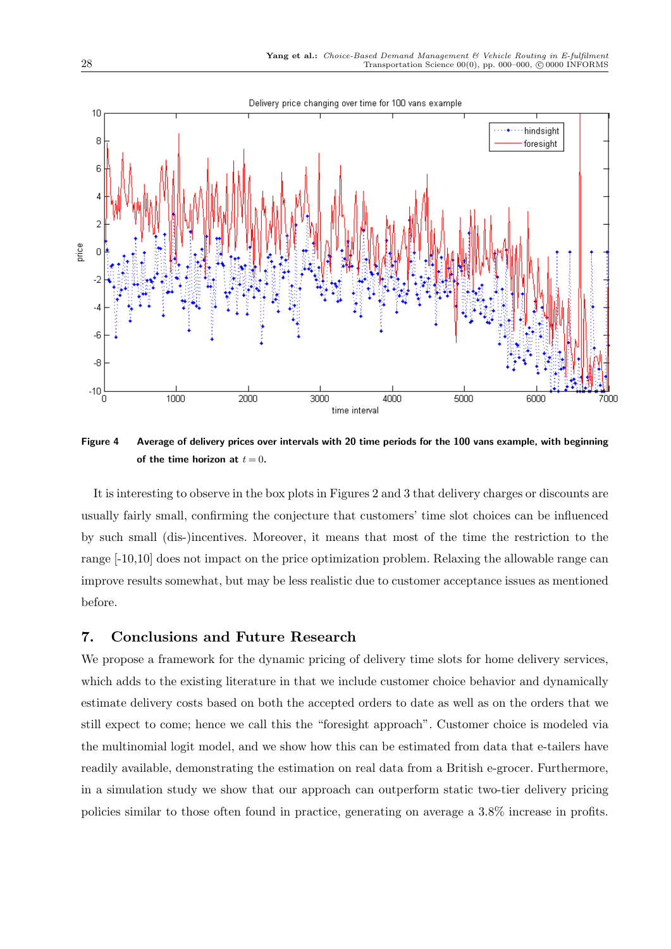

Figure 4 Average of delivery prices over intervals with 20 time periods for the 100 vans example, with beginning of the time horizon at  $t = 0$ .

It is interesting to observe in the box plots in Figures 2 and 3 that delivery charges or discounts are usually fairly small, confirming the conjecture that customers' time slot choices can be influenced by such small (dis-)incentives. Moreover, it means that most of the time the restriction to the range [-10,10] does not impact on the price optimization problem. Relaxing the allowable range can improve results somewhat, but may be less realistic due to customer acceptance issues as mentioned before.

# 7. Conclusions and Future Research

We propose a framework for the dynamic pricing of delivery time slots for home delivery services, which adds to the existing literature in that we include customer choice behavior and dynamically estimate delivery costs based on both the accepted orders to date as well as on the orders that we still expect to come; hence we call this the "foresight approach". Customer choice is modeled via the multinomial logit model, and we show how this can be estimated from data that e-tailers have readily available, demonstrating the estimation on real data from a British e-grocer. Furthermore, in a simulation study we show that our approach can outperform static two-tier delivery pricing policies similar to those often found in practice, generating on average a 3.8% increase in profits.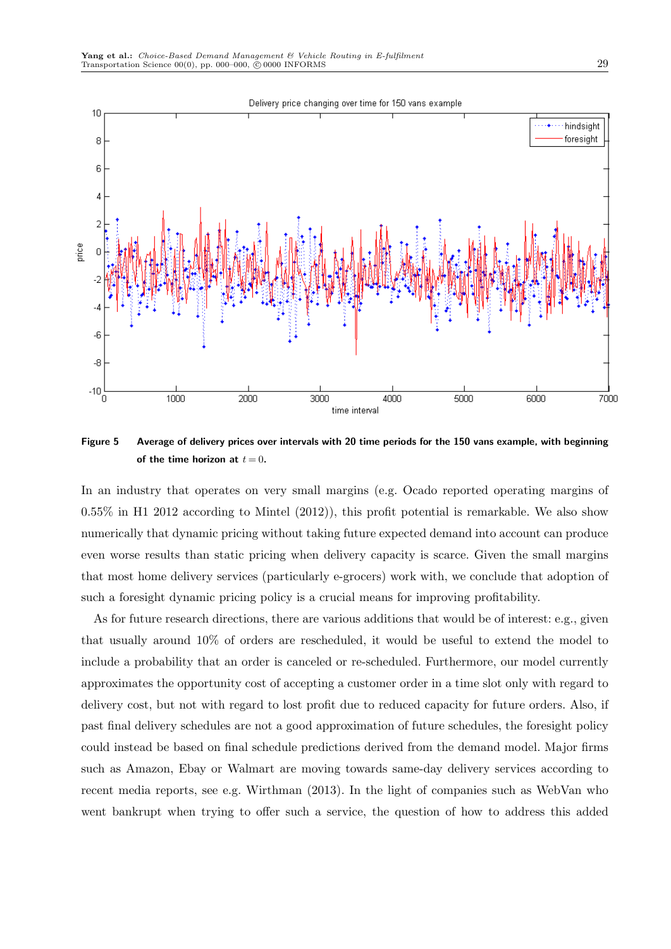

Figure 5 Average of delivery prices over intervals with 20 time periods for the 150 vans example, with beginning of the time horizon at  $t = 0$ .

In an industry that operates on very small margins (e.g. Ocado reported operating margins of 0.55% in H1 2012 according to Mintel (2012)), this profit potential is remarkable. We also show numerically that dynamic pricing without taking future expected demand into account can produce even worse results than static pricing when delivery capacity is scarce. Given the small margins that most home delivery services (particularly e-grocers) work with, we conclude that adoption of such a foresight dynamic pricing policy is a crucial means for improving profitability.

As for future research directions, there are various additions that would be of interest: e.g., given that usually around 10% of orders are rescheduled, it would be useful to extend the model to include a probability that an order is canceled or re-scheduled. Furthermore, our model currently approximates the opportunity cost of accepting a customer order in a time slot only with regard to delivery cost, but not with regard to lost profit due to reduced capacity for future orders. Also, if past final delivery schedules are not a good approximation of future schedules, the foresight policy could instead be based on final schedule predictions derived from the demand model. Major firms such as Amazon, Ebay or Walmart are moving towards same-day delivery services according to recent media reports, see e.g. Wirthman (2013). In the light of companies such as WebVan who went bankrupt when trying to offer such a service, the question of how to address this added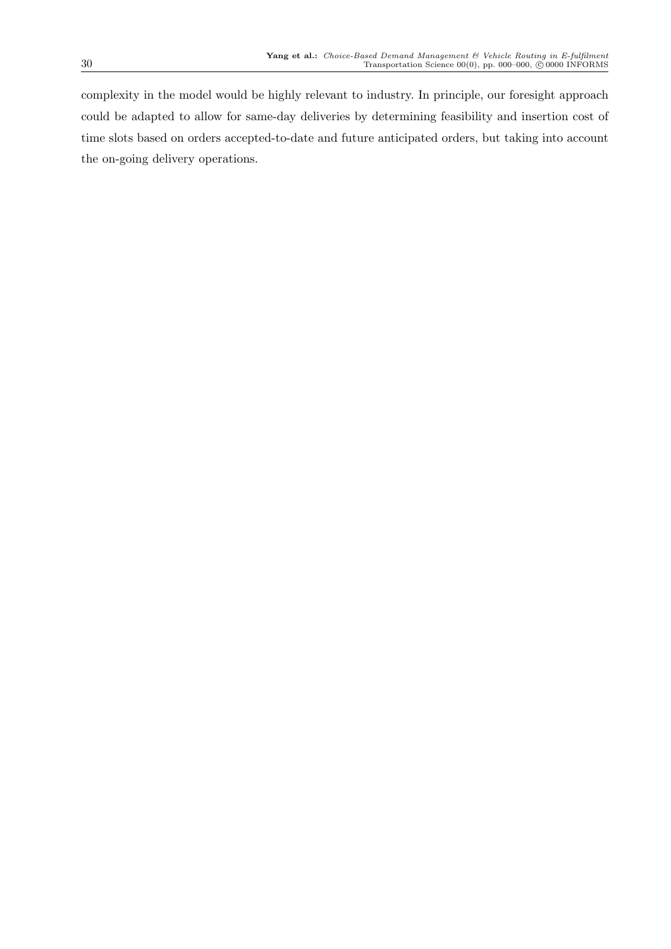complexity in the model would be highly relevant to industry. In principle, our foresight approach could be adapted to allow for same-day deliveries by determining feasibility and insertion cost of time slots based on orders accepted-to-date and future anticipated orders, but taking into account the on-going delivery operations.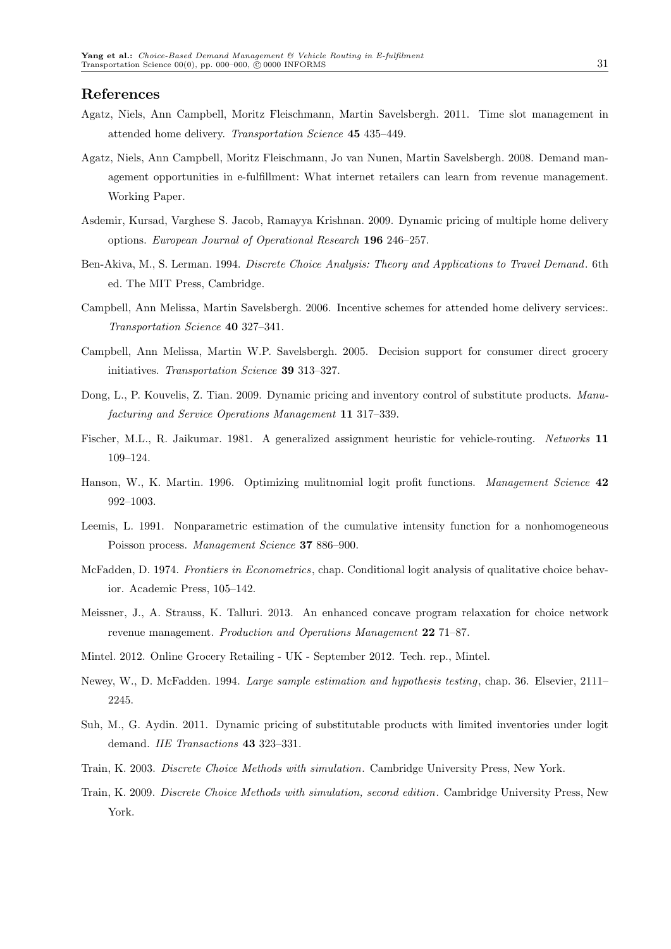#### References

- Agatz, Niels, Ann Campbell, Moritz Fleischmann, Martin Savelsbergh. 2011. Time slot management in attended home delivery. Transportation Science 45 435–449.
- Agatz, Niels, Ann Campbell, Moritz Fleischmann, Jo van Nunen, Martin Savelsbergh. 2008. Demand management opportunities in e-fulfillment: What internet retailers can learn from revenue management. Working Paper.
- Asdemir, Kursad, Varghese S. Jacob, Ramayya Krishnan. 2009. Dynamic pricing of multiple home delivery options. European Journal of Operational Research 196 246–257.
- Ben-Akiva, M., S. Lerman. 1994. Discrete Choice Analysis: Theory and Applications to Travel Demand. 6th ed. The MIT Press, Cambridge.
- Campbell, Ann Melissa, Martin Savelsbergh. 2006. Incentive schemes for attended home delivery services:. Transportation Science 40 327–341.
- Campbell, Ann Melissa, Martin W.P. Savelsbergh. 2005. Decision support for consumer direct grocery initiatives. Transportation Science 39 313–327.
- Dong, L., P. Kouvelis, Z. Tian. 2009. Dynamic pricing and inventory control of substitute products. Manufacturing and Service Operations Management 11 317–339.
- Fischer, M.L., R. Jaikumar. 1981. A generalized assignment heuristic for vehicle-routing. Networks 11 109–124.
- Hanson, W., K. Martin. 1996. Optimizing mulitnomial logit profit functions. Management Science 42 992–1003.
- Leemis, L. 1991. Nonparametric estimation of the cumulative intensity function for a nonhomogeneous Poisson process. Management Science 37 886–900.
- McFadden, D. 1974. Frontiers in Econometrics, chap. Conditional logit analysis of qualitative choice behavior. Academic Press, 105–142.
- Meissner, J., A. Strauss, K. Talluri. 2013. An enhanced concave program relaxation for choice network revenue management. Production and Operations Management 22 71–87.
- Mintel. 2012. Online Grocery Retailing UK September 2012. Tech. rep., Mintel.
- Newey, W., D. McFadden. 1994. Large sample estimation and hypothesis testing, chap. 36. Elsevier, 2111– 2245.
- Suh, M., G. Aydin. 2011. Dynamic pricing of substitutable products with limited inventories under logit demand. IIE Transactions 43 323–331.
- Train, K. 2003. Discrete Choice Methods with simulation. Cambridge University Press, New York.
- Train, K. 2009. Discrete Choice Methods with simulation, second edition. Cambridge University Press, New York.